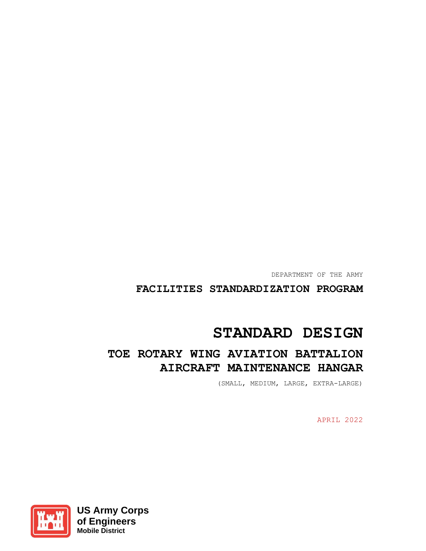DEPARTMENT OF THE ARMY

## **FACILITIES STANDARDIZATION PROGRAM**

# **STANDARD DESIGN**

## **TOE ROTARY WING AVIATION BATTALION AIRCRAFT MAINTENANCE HANGAR**

(SMALL, MEDIUM, LARGE, EXTRA-LARGE)

APRIL 2022

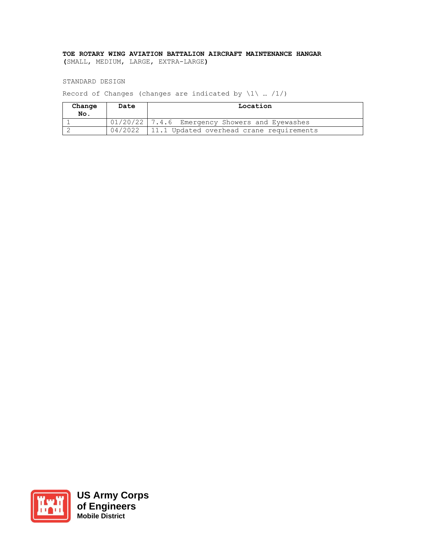## **TOE ROTARY WING AVIATION BATTALION AIRCRAFT MAINTENANCE HANGAR**

**(**SMALL, MEDIUM, LARGE, EXTRA-LARGE**)** 

STANDARD DESIGN

Record of Changes (changes are indicated by  $\1 \cdot ... /1/$ )

| Change<br>No. | Date    | Location                                       |  |  |
|---------------|---------|------------------------------------------------|--|--|
|               |         | 01/20/22 7.4.6 Emergency Showers and Eyewashes |  |  |
|               | 04/2022 | 11.1 Updated overhead crane requirements       |  |  |



**US Army Corps of Engineers Mobile District**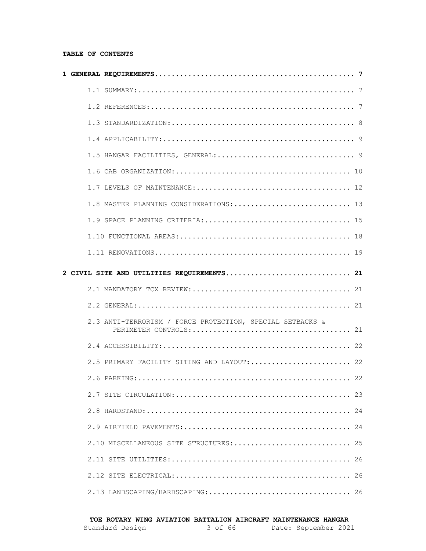#### **TABLE OF CONTENTS**

|  | 1.8 MASTER PLANNING CONSIDERATIONS: 13                    |    |
|--|-----------------------------------------------------------|----|
|  |                                                           |    |
|  |                                                           |    |
|  |                                                           |    |
|  | 2 CIVIL SITE AND UTILITIES REQUIREMENTS 21                |    |
|  |                                                           |    |
|  |                                                           |    |
|  | 2.3 ANTI-TERRORISM / FORCE PROTECTION, SPECIAL SETBACKS & |    |
|  |                                                           |    |
|  | 2.5 PRIMARY FACILITY SITING AND LAYOUT: 22                |    |
|  |                                                           |    |
|  |                                                           |    |
|  |                                                           | 24 |
|  |                                                           |    |
|  | 2.10 MISCELLANEOUS SITE STRUCTURES:  25                   |    |
|  |                                                           | 26 |
|  |                                                           |    |
|  |                                                           |    |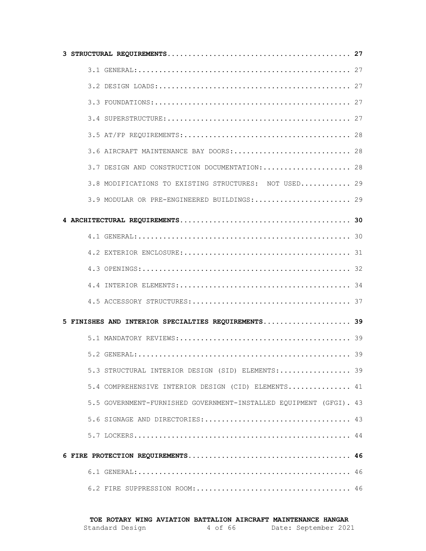| 3.6 AIRCRAFT MAINTENANCE BAY DOORS: 28                             |  |
|--------------------------------------------------------------------|--|
| 3.7 DESIGN AND CONSTRUCTION DOCUMENTATION:  28                     |  |
| 3.8 MODIFICATIONS TO EXISTING STRUCTURES: NOT USED 29              |  |
| 3.9 MODULAR OR PRE-ENGINEERED BUILDINGS: 29                        |  |
|                                                                    |  |
|                                                                    |  |
|                                                                    |  |
|                                                                    |  |
|                                                                    |  |
|                                                                    |  |
| 5 FINISHES AND INTERIOR SPECIALTIES REQUIREMENTS 39                |  |
|                                                                    |  |
|                                                                    |  |
| 5.3 STRUCTURAL INTERIOR DESIGN (SID) ELEMENTS: 39                  |  |
| 5.4 COMPREHENSIVE INTERIOR DESIGN (CID) ELEMENTS 41                |  |
| 5.5 GOVERNMENT-FURNISHED GOVERNMENT-INSTALLED EQUIPMENT (GFGI). 43 |  |
|                                                                    |  |
|                                                                    |  |
|                                                                    |  |
|                                                                    |  |
|                                                                    |  |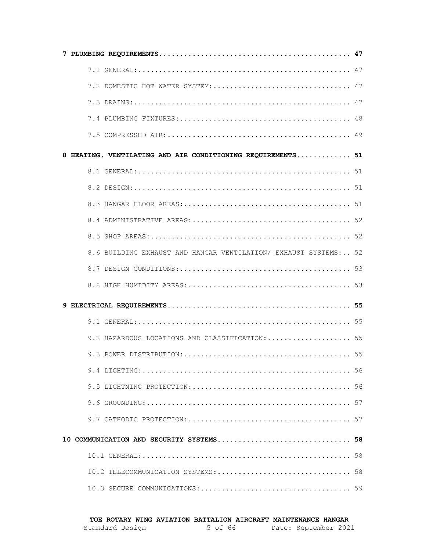| 7.2 DOMESTIC HOT WATER SYSTEM:  47                               |  |
|------------------------------------------------------------------|--|
|                                                                  |  |
|                                                                  |  |
|                                                                  |  |
| 8 HEATING, VENTILATING AND AIR CONDITIONING REQUIREMENTS 51      |  |
|                                                                  |  |
|                                                                  |  |
|                                                                  |  |
|                                                                  |  |
|                                                                  |  |
| 8.6 BUILDING EXHAUST AND HANGAR VENTILATION/ EXHAUST SYSTEMS: 52 |  |
|                                                                  |  |
|                                                                  |  |
|                                                                  |  |
|                                                                  |  |
| 9.2 HAZARDOUS LOCATIONS AND CLASSIFICATION:  55                  |  |
|                                                                  |  |
|                                                                  |  |
|                                                                  |  |
|                                                                  |  |
|                                                                  |  |
| 10 COMMUNICATION AND SECURITY SYSTEMS 58                         |  |
|                                                                  |  |
| 10.2 TELECOMMUNICATION SYSTEMS: 58                               |  |
|                                                                  |  |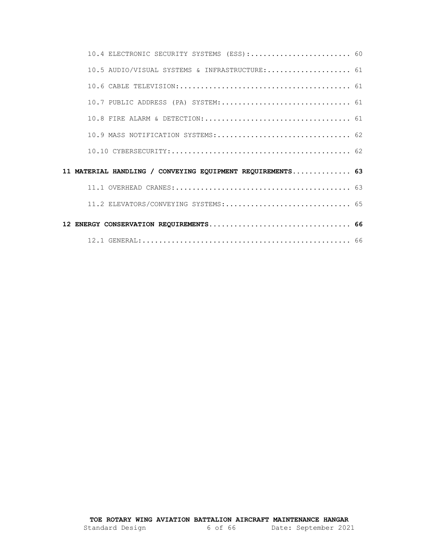| 10.4 ELECTRONIC SECURITY SYSTEMS (ESS): 60                 |  |
|------------------------------------------------------------|--|
| 10.5 AUDIO/VISUAL SYSTEMS & INFRASTRUCTURE: 61             |  |
|                                                            |  |
| 10.7 PUBLIC ADDRESS (PA) SYSTEM: 61                        |  |
|                                                            |  |
| 10.9 MASS NOTIFICATION SYSTEMS: 62                         |  |
|                                                            |  |
| 11 MATERIAL HANDLING / CONVEYING EQUIPMENT REQUIREMENTS 63 |  |
|                                                            |  |
|                                                            |  |
|                                                            |  |
|                                                            |  |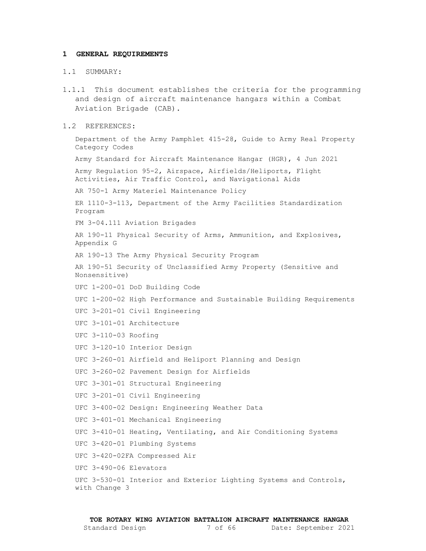#### <span id="page-6-1"></span><span id="page-6-0"></span>**1 GENERAL REQUIREMENTS**

#### 1.1 SUMMARY:

1.1.1 This document establishes the criteria for the programming and design of aircraft maintenance hangars within a Combat Aviation Brigade (CAB).

#### <span id="page-6-2"></span>1.2 REFERENCES:

Department of the Army Pamphlet 415-28, Guide to Army Real Property Category Codes

Army Standard for Aircraft Maintenance Hangar (HGR), 4 Jun 2021

Army Regulation 95-2, Airspace, Airfields/Heliports, Flight Activities, Air Traffic Control, and Navigational Aids

AR 750-1 Army Materiel Maintenance Policy

ER 1110-3-113, Department of the Army Facilities Standardization Program

FM 3-04.111 Aviation Brigades

AR 190-11 Physical Security of Arms, Ammunition, and Explosives, Appendix G

AR 190-13 The Army Physical Security Program

AR 190-51 Security of Unclassified Army Property (Sensitive and Nonsensitive)

UFC 1-200-01 DoD Building Code

UFC 1-200-02 High Performance and Sustainable Building Requirements

UFC 3-201-01 Civil Engineering

UFC 3-101-01 Architecture

UFC 3-110-03 Roofing

UFC 3-120-10 Interior Design

UFC 3-260-01 Airfield and Heliport Planning and Design

UFC 3-260-02 Pavement Design for Airfields

UFC 3-301-01 Structural Engineering

UFC 3-201-01 Civil Engineering

UFC 3-400-02 Design: Engineering Weather Data

UFC 3-401-01 Mechanical Engineering

UFC 3-410-01 Heating, Ventilating, and Air Conditioning Systems

UFC 3-420-01 Plumbing Systems

UFC 3-420-02FA Compressed Air

UFC 3-490-06 Elevators

UFC 3-530-01 Interior and Exterior Lighting Systems and Controls, with Change 3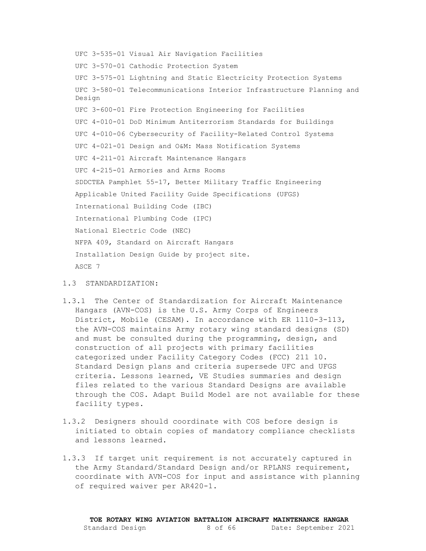UFC 3-535-01 Visual Air Navigation Facilities UFC 3-570-01 Cathodic Protection System UFC 3-575-01 Lightning and Static Electricity Protection Systems UFC 3-580-01 Telecommunications Interior Infrastructure Planning and Design UFC 3-600-01 Fire Protection Engineering for Facilities UFC 4-010-01 DoD Minimum Antiterrorism Standards for Buildings UFC 4-010-06 Cybersecurity of Facility-Related Control Systems UFC 4-021-01 Design and O&M: Mass Notification Systems UFC 4-211-01 Aircraft Maintenance Hangars UFC 4-215-01 Armories and Arms Rooms SDDCTEA Pamphlet 55-17, Better Military Traffic Engineering Applicable United Facility Guide Specifications (UFGS) International Building Code (IBC) International Plumbing Code (IPC) National Electric Code (NEC) NFPA 409, Standard on Aircraft Hangars Installation Design Guide by project site. ASCE 7

## <span id="page-7-0"></span>1.3 STANDARDIZATION:

- 1.3.1 The Center of Standardization for Aircraft Maintenance Hangars (AVN-COS) is the U.S. Army Corps of Engineers District, Mobile (CESAM). In accordance with ER 1110-3-113, the AVN-COS maintains Army rotary wing standard designs (SD) and must be consulted during the programming, design, and construction of all projects with primary facilities categorized under Facility Category Codes (FCC) 211 10. Standard Design plans and criteria supersede UFC and UFGS criteria. Lessons learned, VE Studies summaries and design files related to the various Standard Designs are available through the COS. Adapt Build Model are not available for these facility types.
- 1.3.2 Designers should coordinate with COS before design is initiated to obtain copies of mandatory compliance checklists and lessons learned.
- 1.3.3 If target unit requirement is not accurately captured in the Army Standard/Standard Design and/or RPLANS requirement, coordinate with AVN-COS for input and assistance with planning of required waiver per AR420-1.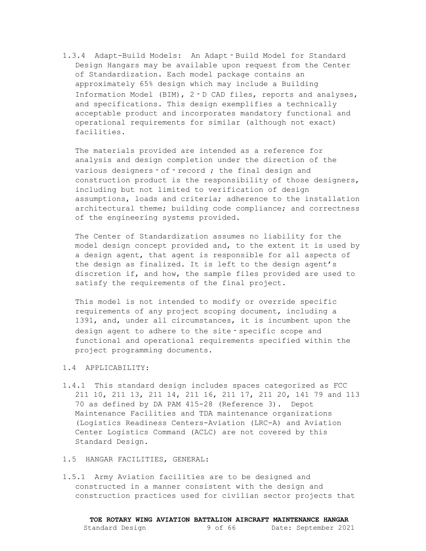1.3.4 Adapt-Build Models: An Adapt‐Build Model for Standard Design Hangars may be available upon request from the Center of Standardization. Each model package contains an approximately 65% design which may include a Building Information Model (BIM), 2‐D CAD files, reports and analyses, and specifications. This design exemplifies a technically acceptable product and incorporates mandatory functional and operational requirements for similar (although not exact) facilities.

The materials provided are intended as a reference for analysis and design completion under the direction of the various designers of - record ; the final design and construction product is the responsibility of those designers, including but not limited to verification of design assumptions, loads and criteria; adherence to the installation architectural theme; building code compliance; and correctness of the engineering systems provided.

The Center of Standardization assumes no liability for the model design concept provided and, to the extent it is used by a design agent, that agent is responsible for all aspects of the design as finalized. It is left to the design agent's discretion if, and how, the sample files provided are used to satisfy the requirements of the final project.

This model is not intended to modify or override specific requirements of any project scoping document, including a 1391, and, under all circumstances, it is incumbent upon the design agent to adhere to the site - specific scope and functional and operational requirements specified within the project programming documents.

#### <span id="page-8-0"></span>1.4 APPLICABILITY:

- 1.4.1 This standard design includes spaces categorized as FCC 211 10, 211 13, 211 14, 211 16, 211 17, 211 20, 141 79 and 113 70 as defined by DA PAM 415-28 (Reference 3). Depot Maintenance Facilities and TDA maintenance organizations (Logistics Readiness Centers-Aviation (LRC-A) and Aviation Center Logistics Command (ACLC) are not covered by this Standard Design.
- <span id="page-8-1"></span>1.5 HANGAR FACILITIES, GENERAL:
- 1.5.1 Army Aviation facilities are to be designed and constructed in a manner consistent with the design and construction practices used for civilian sector projects that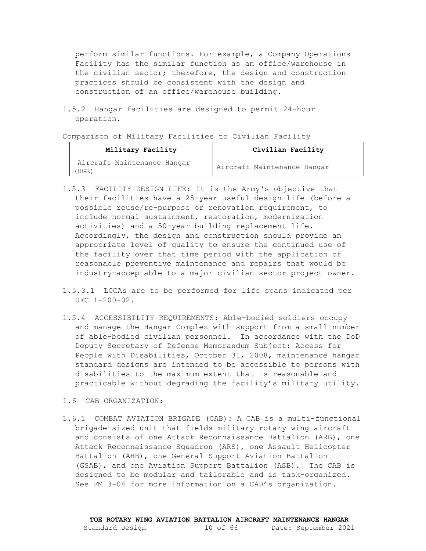perform similar functions. For example, a Company Operations Facility has the similar function as an office/warehouse in the civilian sector; therefore, the design and construction practices should be consistent with the design and construction of an office/warehouse building.

1.5.2 Hangar facilities are designed to permit 24-hour operation.

Comparison of Military Facilities to Civilian Facility

| Military Facility                    | Civilian Facility           |  |  |
|--------------------------------------|-----------------------------|--|--|
| Aircraft Maintenance Hangar<br>(HGR) | Aircraft Maintenance Hangar |  |  |

- 1.5.3 FACILITY DESIGN LIFE: It is the Army's objective that their facilities have a 25-year useful design life (before a possible reuse/re-purpose or renovation requirement, to include normal sustainment, restoration, modernization activities) and a 50-year building replacement life. Accordingly, the design and construction should provide an appropriate level of quality to ensure the continued use of the facility over that time period with the application of reasonable preventive maintenance and repairs that would be industry-acceptable to a major civilian sector project owner.
- 1.5.3.1 LCCAs are to be performed for life spans indicated per UFC 1-200-02.
- 1.5.4 ACCESSIBILITY REQUIREMENTS: Able-bodied soldiers occupy and manage the Hangar Complex with support from a small number of able-bodied civilian personnel. In accordance with the DoD Deputy Secretary of Defense Memorandum Subject: Access for People with Disabilities, October 31, 2008, maintenance hangar standard designs are intended to be accessible to persons with disabilities to the maximum extent that is reasonable and practicable without degrading the facility's military utility.
- <span id="page-9-0"></span>1.6 CAB ORGANIZATION:
- 1.6.1 COMBAT AVIATION BRIGADE (CAB): A CAB is a multi-functional brigade-sized unit that fields military rotary wing aircraft and consists of one Attack Reconnaissance Battalion (ARB), one Attack Reconnaissance Squadron (ARS), one Assault Helicopter Battalion (AHB), one General Support Aviation Battalion (GSAB), and one Aviation Support Battalion (ASB). The CAB is designed to be modular and tailorable and is task-organized. See FM 3-04 for more information on a CAB's organization.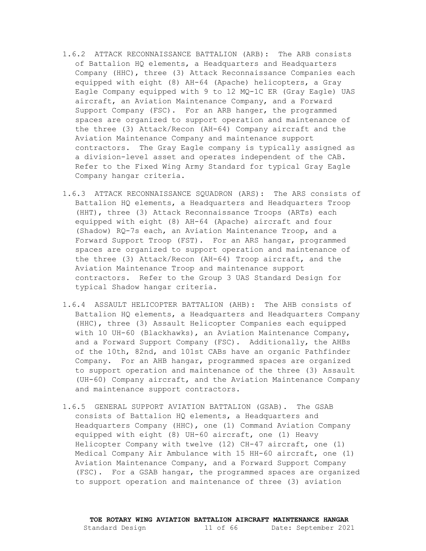- 1.6.2 ATTACK RECONNAISSANCE BATTALION (ARB): The ARB consists of Battalion HQ elements, a Headquarters and Headquarters Company (HHC), three (3) Attack Reconnaissance Companies each equipped with eight (8) AH-64 (Apache) helicopters, a Gray Eagle Company equipped with 9 to 12 MQ-1C ER (Gray Eagle) UAS aircraft, an Aviation Maintenance Company, and a Forward Support Company (FSC). For an ARB hanger, the programmed spaces are organized to support operation and maintenance of the three (3) Attack/Recon (AH-64) Company aircraft and the Aviation Maintenance Company and maintenance support contractors. The Gray Eagle company is typically assigned as a division-level asset and operates independent of the CAB. Refer to the Fixed Wing Army Standard for typical Gray Eagle Company hangar criteria.
- 1.6.3 ATTACK RECONNAISSANCE SQUADRON (ARS): The ARS consists of Battalion HQ elements, a Headquarters and Headquarters Troop (HHT), three (3) Attack Reconnaissance Troops (ARTs) each equipped with eight (8) AH-64 (Apache) aircraft and four (Shadow) RQ-7s each, an Aviation Maintenance Troop, and a Forward Support Troop (FST). For an ARS hangar, programmed spaces are organized to support operation and maintenance of the three (3) Attack/Recon (AH-64) Troop aircraft, and the Aviation Maintenance Troop and maintenance support contractors. Refer to the Group 3 UAS Standard Design for typical Shadow hangar criteria.
- 1.6.4 ASSAULT HELICOPTER BATTALION (AHB): The AHB consists of Battalion HQ elements, a Headquarters and Headquarters Company (HHC), three (3) Assault Helicopter Companies each equipped with 10 UH-60 (Blackhawks), an Aviation Maintenance Company, and a Forward Support Company (FSC). Additionally, the AHBs of the 10th, 82nd, and 101st CABs have an organic Pathfinder Company. For an AHB hangar, programmed spaces are organized to support operation and maintenance of the three (3) Assault (UH-60) Company aircraft, and the Aviation Maintenance Company and maintenance support contractors.
- 1.6.5 GENERAL SUPPORT AVIATION BATTALION (GSAB). The GSAB consists of Battalion HQ elements, a Headquarters and Headquarters Company (HHC), one (1) Command Aviation Company equipped with eight (8) UH-60 aircraft, one (1) Heavy Helicopter Company with twelve (12) CH-47 aircraft, one (1) Medical Company Air Ambulance with 15 HH-60 aircraft, one (1) Aviation Maintenance Company, and a Forward Support Company (FSC). For a GSAB hangar, the programmed spaces are organized to support operation and maintenance of three (3) aviation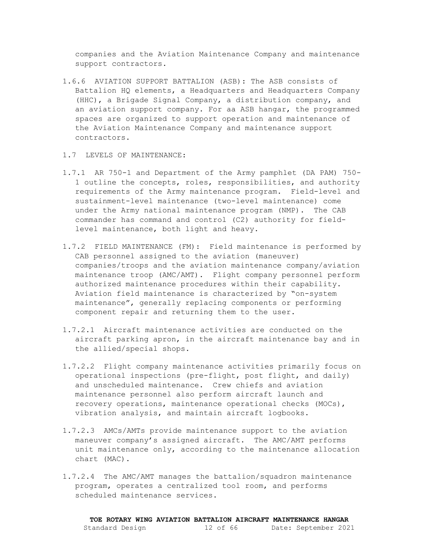companies and the Aviation Maintenance Company and maintenance support contractors.

- 1.6.6 AVIATION SUPPORT BATTALION (ASB): The ASB consists of Battalion HQ elements, a Headquarters and Headquarters Company (HHC), a Brigade Signal Company, a distribution company, and an aviation support company. For aa ASB hangar, the programmed spaces are organized to support operation and maintenance of the Aviation Maintenance Company and maintenance support contractors.
- <span id="page-11-0"></span>1.7 LEVELS OF MAINTENANCE:
- 1.7.1 AR 750-1 and Department of the Army pamphlet (DA PAM) 750- 1 outline the concepts, roles, responsibilities, and authority requirements of the Army maintenance program. Field-level and sustainment-level maintenance (two-level maintenance) come under the Army national maintenance program (NMP). The CAB commander has command and control (C2) authority for fieldlevel maintenance, both light and heavy.
- 1.7.2 FIELD MAINTENANCE (FM): Field maintenance is performed by CAB personnel assigned to the aviation (maneuver) companies/troops and the aviation maintenance company/aviation maintenance troop (AMC/AMT). Flight company personnel perform authorized maintenance procedures within their capability. Aviation field maintenance is characterized by "on-system maintenance", generally replacing components or performing component repair and returning them to the user.
- 1.7.2.1 Aircraft maintenance activities are conducted on the aircraft parking apron, in the aircraft maintenance bay and in the allied/special shops.
- 1.7.2.2 Flight company maintenance activities primarily focus on operational inspections (pre-flight, post flight, and daily) and unscheduled maintenance. Crew chiefs and aviation maintenance personnel also perform aircraft launch and recovery operations, maintenance operational checks (MOCs), vibration analysis, and maintain aircraft logbooks.
- 1.7.2.3 AMCs/AMTs provide maintenance support to the aviation maneuver company's assigned aircraft. The AMC/AMT performs unit maintenance only, according to the maintenance allocation chart (MAC).
- 1.7.2.4 The AMC/AMT manages the battalion/squadron maintenance program, operates a centralized tool room, and performs scheduled maintenance services.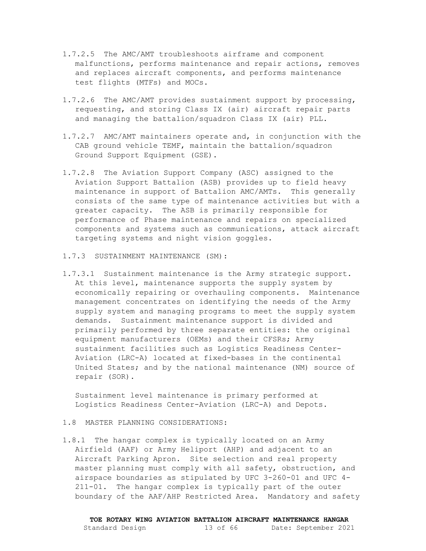- 1.7.2.5 The AMC/AMT troubleshoots airframe and component malfunctions, performs maintenance and repair actions, removes and replaces aircraft components, and performs maintenance test flights (MTFs) and MOCs.
- 1.7.2.6 The AMC/AMT provides sustainment support by processing, requesting, and storing Class IX (air) aircraft repair parts and managing the battalion/squadron Class IX (air) PLL.
- 1.7.2.7 AMC/AMT maintainers operate and, in conjunction with the CAB ground vehicle TEMF, maintain the battalion/squadron Ground Support Equipment (GSE).
- 1.7.2.8 The Aviation Support Company (ASC) assigned to the Aviation Support Battalion (ASB) provides up to field heavy maintenance in support of Battalion AMC/AMTs. This generally consists of the same type of maintenance activities but with a greater capacity. The ASB is primarily responsible for performance of Phase maintenance and repairs on specialized components and systems such as communications, attack aircraft targeting systems and night vision goggles.
- 1.7.3 SUSTAINMENT MAINTENANCE (SM):
- 1.7.3.1 Sustainment maintenance is the Army strategic support. At this level, maintenance supports the supply system by economically repairing or overhauling components. Maintenance management concentrates on identifying the needs of the Army supply system and managing programs to meet the supply system demands. Sustainment maintenance support is divided and primarily performed by three separate entities: the original equipment manufacturers (OEMs) and their CFSRs; Army sustainment facilities such as Logistics Readiness Center-Aviation (LRC-A) located at fixed-bases in the continental United States; and by the national maintenance (NM) source of repair (SOR).

Sustainment level maintenance is primary performed at Logistics Readiness Center-Aviation (LRC-A) and Depots.

#### <span id="page-12-0"></span>1.8 MASTER PLANNING CONSIDERATIONS:

1.8.1 The hangar complex is typically located on an Army Airfield (AAF) or Army Heliport (AHP) and adjacent to an Aircraft Parking Apron. Site selection and real property master planning must comply with all safety, obstruction, and airspace boundaries as stipulated by UFC 3-260-01 and UFC 4- 211-01. The hangar complex is typically part of the outer boundary of the AAF/AHP Restricted Area. Mandatory and safety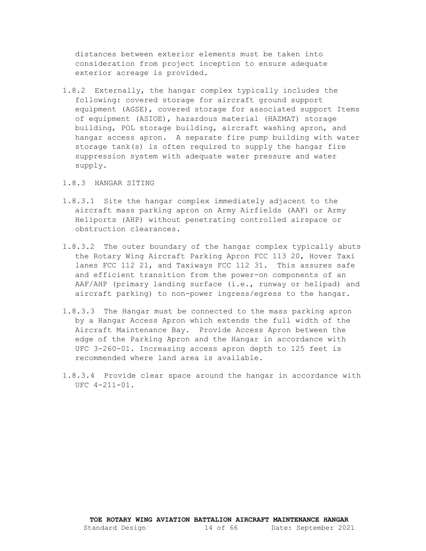distances between exterior elements must be taken into consideration from project inception to ensure adequate exterior acreage is provided.

- 1.8.2 Externally, the hangar complex typically includes the following: covered storage for aircraft ground support equipment (AGSE), covered storage for associated support Items of equipment (ASIOE), hazardous material (HAZMAT) storage building, POL storage building, aircraft washing apron, and hangar access apron. A separate fire pump building with water storage tank(s) is often required to supply the hangar fire suppression system with adequate water pressure and water supply.
- 1.8.3 HANGAR SITING
- 1.8.3.1 Site the hangar complex immediately adjacent to the aircraft mass parking apron on Army Airfields (AAF) or Army Heliports (AHP) without penetrating controlled airspace or obstruction clearances.
- 1.8.3.2 The outer boundary of the hangar complex typically abuts the Rotary Wing Aircraft Parking Apron FCC 113 20, Hover Taxi lanes FCC 112 21, and Taxiways FCC 112 31. This assures safe and efficient transition from the power-on components of an AAF/AHP (primary landing surface (i.e., runway or helipad) and aircraft parking) to non-power ingress/egress to the hangar.
- 1.8.3.3 The Hangar must be connected to the mass parking apron by a Hangar Access Apron which extends the full width of the Aircraft Maintenance Bay. Provide Access Apron between the edge of the Parking Apron and the Hangar in accordance with UFC 3-260-01. Increasing access apron depth to 125 feet is recommended where land area is available.
- 1.8.3.4 Provide clear space around the hangar in accordance with UFC 4-211-01.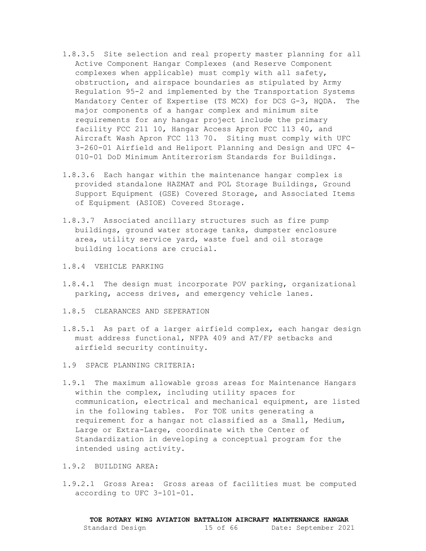- 1.8.3.5 Site selection and real property master planning for all Active Component Hangar Complexes (and Reserve Component complexes when applicable) must comply with all safety, obstruction, and airspace boundaries as stipulated by Army Regulation 95-2 and implemented by the Transportation Systems Mandatory Center of Expertise (TS MCX) for DCS G-3, HQDA. The major components of a hangar complex and minimum site requirements for any hangar project include the primary facility FCC 211 10, Hangar Access Apron FCC 113 40, and Aircraft Wash Apron FCC 113 70. Siting must comply with UFC 3-260-01 Airfield and Heliport Planning and Design and UFC 4- 010-01 DoD Minimum Antiterrorism Standards for Buildings.
- 1.8.3.6 Each hangar within the maintenance hangar complex is provided standalone HAZMAT and POL Storage Buildings, Ground Support Equipment (GSE) Covered Storage, and Associated Items of Equipment (ASIOE) Covered Storage.
- 1.8.3.7 Associated ancillary structures such as fire pump buildings, ground water storage tanks, dumpster enclosure area, utility service yard, waste fuel and oil storage building locations are crucial.
- 1.8.4 VEHICLE PARKING
- 1.8.4.1 The design must incorporate POV parking, organizational parking, access drives, and emergency vehicle lanes.
- 1.8.5 CLEARANCES AND SEPERATION
- 1.8.5.1 As part of a larger airfield complex, each hangar design must address functional, NFPA 409 and AT/FP setbacks and airfield security continuity.
- <span id="page-14-0"></span>1.9 SPACE PLANNING CRITERIA:
- 1.9.1 The maximum allowable gross areas for Maintenance Hangars within the complex, including utility spaces for communication, electrical and mechanical equipment, are listed in the following tables. For TOE units generating a requirement for a hangar not classified as a Small, Medium, Large or Extra-Large, coordinate with the Center of Standardization in developing a conceptual program for the intended using activity.
- 1.9.2 BUILDING AREA:
- 1.9.2.1 Gross Area: Gross areas of facilities must be computed according to UFC 3-101-01.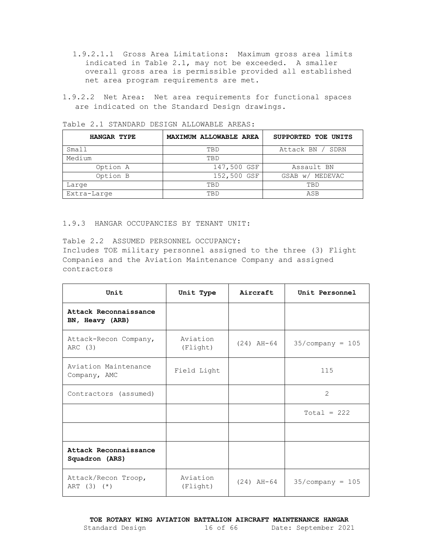- 1.9.2.1.1 Gross Area Limitations: Maximum gross area limits indicated in Table 2.1, may not be exceeded. A smaller overall gross area is permissible provided all established net area program requirements are met.
- 1.9.2.2 Net Area: Net area requirements for functional spaces are indicated on the Standard Design drawings.

| Table 2.1 STANDARD DESIGN ALLOWABLE AREAS: |  |  |  |
|--------------------------------------------|--|--|--|
|--------------------------------------------|--|--|--|

| HANGAR TYPE | MAXIMUM ALLOWABLE AREA | SUPPORTED TOE UNITS |  |
|-------------|------------------------|---------------------|--|
| Small       | TBD                    | Attack BN / SDRN    |  |
| Medium      | TBD                    |                     |  |
| Option A    | 147,500 GSF            | Assault BN          |  |
| Option B    | 152,500 GSF            | GSAB w/ MEDEVAC     |  |
| Large       | TBD                    | TBD                 |  |
| Extra-Large | TBD                    | ASB                 |  |

## 1.9.3 HANGAR OCCUPANCIES BY TENANT UNIT:

Table 2.2 ASSUMED PERSONNEL OCCUPANCY: Includes TOE military personnel assigned to the three (3) Flight Companies and the Aviation Maintenance Company and assigned contractors

| Unit                                     | Unit Type            | Aircraft     | Unit Personnel     |
|------------------------------------------|----------------------|--------------|--------------------|
| Attack Reconnaissance<br>BN, Heavy (ARB) |                      |              |                    |
| Attack-Recon Company,<br>ARC (3)         | Aviation<br>(Flight) | $(24)$ AH-64 | $35/company = 105$ |
| Aviation Maintenance<br>Company, AMC     | Field Light          |              | 115                |
| Contractors (assumed)                    |                      |              | $\mathcal{L}$      |
|                                          |                      |              | $Total = 222$      |
|                                          |                      |              |                    |
| Attack Reconnaissance<br>Squadron (ARS)  |                      |              |                    |
| Attack/Recon Troop,<br>ART $(3)$ $(*)$   | Aviation<br>(Flight) | $(24)$ AH-64 | $35/company = 105$ |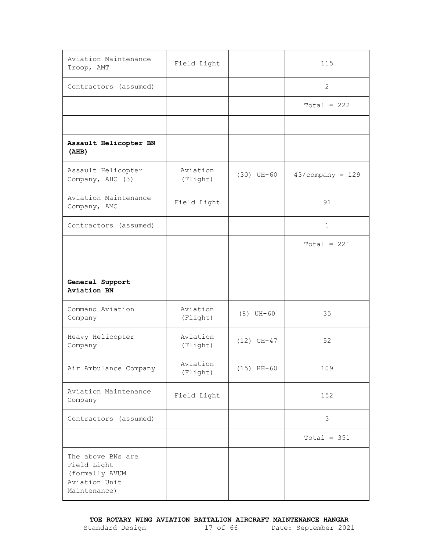| Aviation Maintenance<br>Troop, AMT                                                    | Field Light          |              | 115                |
|---------------------------------------------------------------------------------------|----------------------|--------------|--------------------|
| Contractors (assumed)                                                                 |                      |              | 2                  |
|                                                                                       |                      |              | $Total = 222$      |
|                                                                                       |                      |              |                    |
| Assault Helicopter BN<br>(AHB)                                                        |                      |              |                    |
| Assault Helicopter<br>Company, AHC (3)                                                | Aviation<br>(Flight) | $(30)$ UH-60 | $43/company = 129$ |
| Aviation Maintenance<br>Company, AMC                                                  | Field Light          |              | 91                 |
| Contractors (assumed)                                                                 |                      |              | $\mathbf{1}$       |
|                                                                                       |                      |              | $Total = 221$      |
|                                                                                       |                      |              |                    |
| General Support<br>Aviation BN                                                        |                      |              |                    |
| Command Aviation<br>Company                                                           | Aviation<br>(Flight) | $(8)$ UH-60  | 35                 |
| Heavy Helicopter<br>Company                                                           | Aviation<br>(Flight) | $(12)$ CH-47 | 52                 |
| Air Ambulance Company                                                                 | Aviation<br>(Flight) | $(15)$ HH-60 | 109                |
| Aviation Maintenance<br>Company                                                       | Field Light          |              | 152                |
| Contractors (assumed)                                                                 |                      |              | 3                  |
|                                                                                       |                      |              | $Total = 351$      |
| The above BNs are<br>Field Light -<br>(formally AVUM<br>Aviation Unit<br>Maintenance) |                      |              |                    |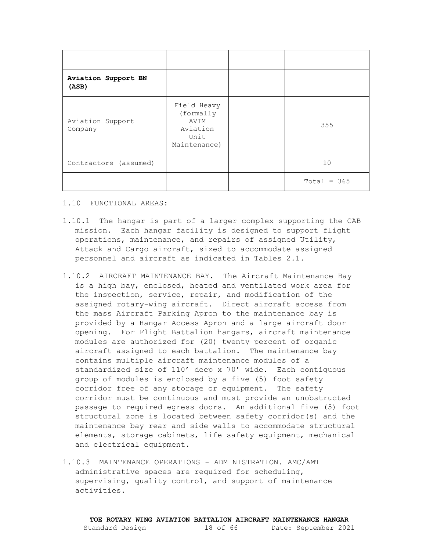| Aviation Support BN<br>(ASB) |                                                                      |               |
|------------------------------|----------------------------------------------------------------------|---------------|
| Aviation Support<br>Company  | Field Heavy<br>(formally<br>AVIM<br>Aviation<br>Unit<br>Maintenance) | 355           |
| Contractors (assumed)        |                                                                      | 10            |
|                              |                                                                      | $Total = 365$ |

<span id="page-17-0"></span>1.10 FUNCTIONAL AREAS:

- 1.10.1 The hangar is part of a larger complex supporting the CAB mission. Each hangar facility is designed to support flight operations, maintenance, and repairs of assigned Utility, Attack and Cargo aircraft, sized to accommodate assigned personnel and aircraft as indicated in Tables 2.1.
- 1.10.2 AIRCRAFT MAINTENANCE BAY. The Aircraft Maintenance Bay is a high bay, enclosed, heated and ventilated work area for the inspection, service, repair, and modification of the assigned rotary-wing aircraft. Direct aircraft access from the mass Aircraft Parking Apron to the maintenance bay is provided by a Hangar Access Apron and a large aircraft door opening. For Flight Battalion hangars, aircraft maintenance modules are authorized for (20) twenty percent of organic aircraft assigned to each battalion. The maintenance bay contains multiple aircraft maintenance modules of a standardized size of 110' deep x 70' wide. Each contiguous group of modules is enclosed by a five (5) foot safety corridor free of any storage or equipment. The safety corridor must be continuous and must provide an unobstructed passage to required egress doors. An additional five (5) foot structural zone is located between safety corridor(s) and the maintenance bay rear and side walls to accommodate structural elements, storage cabinets, life safety equipment, mechanical and electrical equipment.
- 1.10.3 MAINTENANCE OPERATIONS ADMINISTRATION. AMC/AMT administrative spaces are required for scheduling, supervising, quality control, and support of maintenance activities.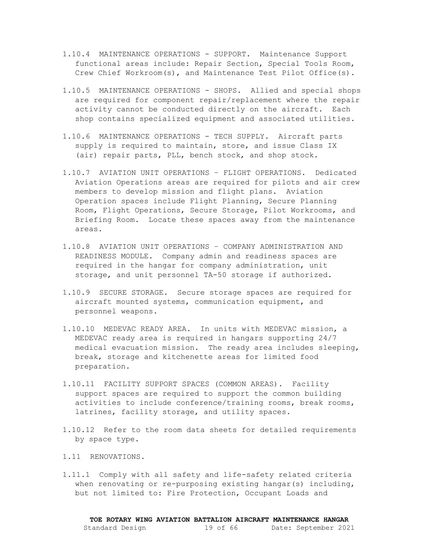- 1.10.4 MAINTENANCE OPERATIONS SUPPORT. Maintenance Support functional areas include: Repair Section, Special Tools Room, Crew Chief Workroom(s), and Maintenance Test Pilot Office(s).
- 1.10.5 MAINTENANCE OPERATIONS SHOPS. Allied and special shops are required for component repair/replacement where the repair activity cannot be conducted directly on the aircraft. Each shop contains specialized equipment and associated utilities.
- 1.10.6 MAINTENANCE OPERATIONS TECH SUPPLY. Aircraft parts supply is required to maintain, store, and issue Class IX (air) repair parts, PLL, bench stock, and shop stock.
- 1.10.7 AVIATION UNIT OPERATIONS FLIGHT OPERATIONS. Dedicated Aviation Operations areas are required for pilots and air crew members to develop mission and flight plans. Aviation Operation spaces include Flight Planning, Secure Planning Room, Flight Operations, Secure Storage, Pilot Workrooms, and Briefing Room. Locate these spaces away from the maintenance areas.
- 1.10.8 AVIATION UNIT OPERATIONS COMPANY ADMINISTRATION AND READINESS MODULE. Company admin and readiness spaces are required in the hangar for company administration, unit storage, and unit personnel TA-50 storage if authorized.
- 1.10.9 SECURE STORAGE. Secure storage spaces are required for aircraft mounted systems, communication equipment, and personnel weapons.
- 1.10.10 MEDEVAC READY AREA. In units with MEDEVAC mission, a MEDEVAC ready area is required in hangars supporting 24/7 medical evacuation mission. The ready area includes sleeping, break, storage and kitchenette areas for limited food preparation.
- 1.10.11 FACILITY SUPPORT SPACES (COMMON AREAS). Facility support spaces are required to support the common building activities to include conference/training rooms, break rooms, latrines, facility storage, and utility spaces.
- 1.10.12 Refer to the room data sheets for detailed requirements by space type.
- <span id="page-18-0"></span>1.11 RENOVATIONS.
- 1.11.1 Comply with all safety and life-safety related criteria when renovating or re-purposing existing hangar(s) including, but not limited to: Fire Protection, Occupant Loads and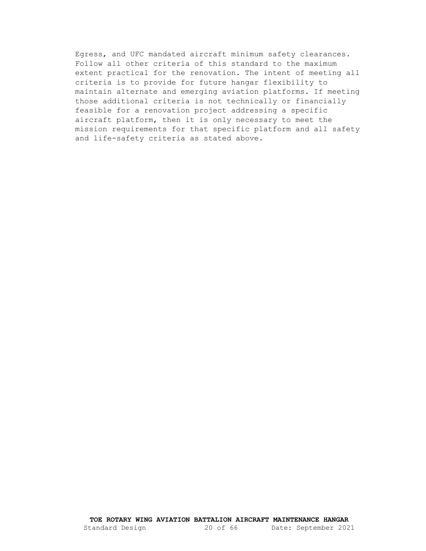Egress, and UFC mandated aircraft minimum safety clearances. Follow all other criteria of this standard to the maximum extent practical for the renovation. The intent of meeting all criteria is to provide for future hangar flexibility to maintain alternate and emerging aviation platforms. If meeting those additional criteria is not technically or financially feasible for a renovation project addressing a specific aircraft platform, then it is only necessary to meet the mission requirements for that specific platform and all safety and life-safety criteria as stated above.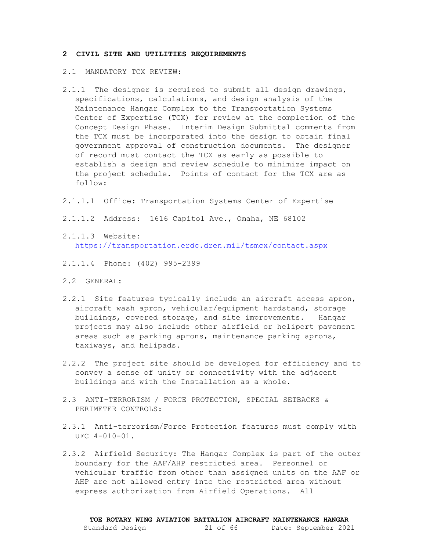#### <span id="page-20-1"></span><span id="page-20-0"></span>**2 CIVIL SITE AND UTILITIES REQUIREMENTS**

- 2.1 MANDATORY TCX REVIEW:
- 2.1.1 The designer is required to submit all design drawings, specifications, calculations, and design analysis of the Maintenance Hangar Complex to the Transportation Systems Center of Expertise (TCX) for review at the completion of the Concept Design Phase. Interim Design Submittal comments from the TCX must be incorporated into the design to obtain final government approval of construction documents. The designer of record must contact the TCX as early as possible to establish a design and review schedule to minimize impact on the project schedule. Points of contact for the TCX are as follow:
- 2.1.1.1 Office: Transportation Systems Center of Expertise
- 2.1.1.2 Address: 1616 Capitol Ave., Omaha, NE 68102
- 2.1.1.3 Website: <https://transportation.erdc.dren.mil/tsmcx/contact.aspx>
- 2.1.1.4 Phone: (402) 995-2399
- <span id="page-20-2"></span>2.2 GENERAL:
- 2.2.1 Site features typically include an aircraft access apron, aircraft wash apron, vehicular/equipment hardstand, storage buildings, covered storage, and site improvements. Hangar projects may also include other airfield or heliport pavement areas such as parking aprons, maintenance parking aprons, taxiways, and helipads.
- 2.2.2 The project site should be developed for efficiency and to convey a sense of unity or connectivity with the adjacent buildings and with the Installation as a whole.
- <span id="page-20-3"></span>2.3 ANTI-TERRORISM / FORCE PROTECTION, SPECIAL SETBACKS & PERIMETER CONTROLS:
- 2.3.1 Anti-terrorism/Force Protection features must comply with UFC 4-010-01.
- 2.3.2 Airfield Security: The Hangar Complex is part of the outer boundary for the AAF/AHP restricted area. Personnel or vehicular traffic from other than assigned units on the AAF or AHP are not allowed entry into the restricted area without express authorization from Airfield Operations. All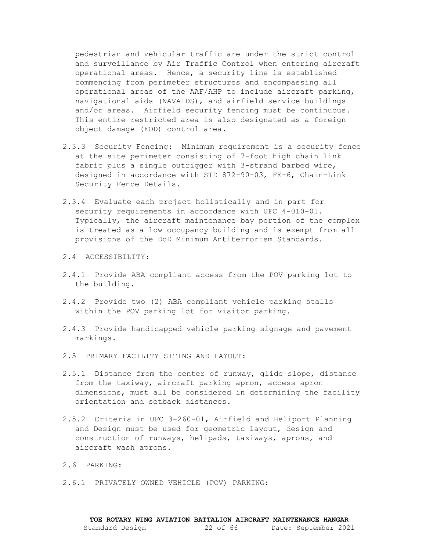pedestrian and vehicular traffic are under the strict control and surveillance by Air Traffic Control when entering aircraft operational areas. Hence, a security line is established commencing from perimeter structures and encompassing all operational areas of the AAF/AHP to include aircraft parking, navigational aids (NAVAIDS), and airfield service buildings and/or areas. Airfield security fencing must be continuous. This entire restricted area is also designated as a foreign object damage (FOD) control area.

- 2.3.3 Security Fencing: Minimum requirement is a security fence at the site perimeter consisting of 7-foot high chain link fabric plus a single outrigger with 3-strand barbed wire, designed in accordance with STD 872-90-03, FE-6, Chain-Link Security Fence Details.
- 2.3.4 Evaluate each project holistically and in part for security requirements in accordance with UFC 4-010-01. Typically, the aircraft maintenance bay portion of the complex is treated as a low occupancy building and is exempt from all provisions of the DoD Minimum Antiterrorism Standards.

### <span id="page-21-0"></span>2.4 ACCESSIBILITY:

- 2.4.1 Provide ABA compliant access from the POV parking lot to the building.
- 2.4.2 Provide two (2) ABA compliant vehicle parking stalls within the POV parking lot for visitor parking.
- 2.4.3 Provide handicapped vehicle parking signage and pavement markings.
- <span id="page-21-1"></span>2.5 PRIMARY FACILITY SITING AND LAYOUT:
- 2.5.1 Distance from the center of runway, glide slope, distance from the taxiway, aircraft parking apron, access apron dimensions, must all be considered in determining the facility orientation and setback distances.
- 2.5.2 Criteria in UFC 3-260-01, Airfield and Heliport Planning and Design must be used for geometric layout, design and construction of runways, helipads, taxiways, aprons, and aircraft wash aprons.
- <span id="page-21-2"></span>2.6 PARKING:
- 2.6.1 PRIVATELY OWNED VEHICLE (POV) PARKING: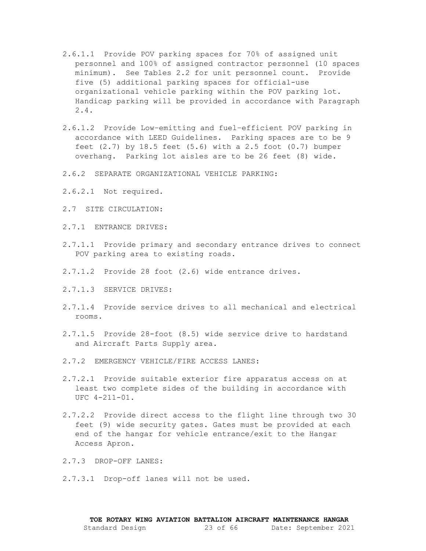- 2.6.1.1 Provide POV parking spaces for 70% of assigned unit personnel and 100% of assigned contractor personnel (10 spaces minimum). See Tables 2.2 for unit personnel count. Provide five (5) additional parking spaces for official-use organizational vehicle parking within the POV parking lot. Handicap parking will be provided in accordance with Paragraph 2.4.
- 2.6.1.2 Provide Low–emitting and fuel–efficient POV parking in accordance with LEED Guidelines. Parking spaces are to be 9 feet (2.7) by 18.5 feet (5.6) with a 2.5 foot (0.7) bumper overhang. Parking lot aisles are to be 26 feet (8) wide.
- 2.6.2 SEPARATE ORGANIZATIONAL VEHICLE PARKING:
- <span id="page-22-0"></span>2.6.2.1 Not required.
- 2.7 SITE CIRCULATION:
- 2.7.1 ENTRANCE DRIVES:
- 2.7.1.1 Provide primary and secondary entrance drives to connect POV parking area to existing roads.
- 2.7.1.2 Provide 28 foot (2.6) wide entrance drives.
- 2.7.1.3 SERVICE DRIVES:
- 2.7.1.4 Provide service drives to all mechanical and electrical rooms.
- 2.7.1.5 Provide 28-foot (8.5) wide service drive to hardstand and Aircraft Parts Supply area.
- 2.7.2 EMERGENCY VEHICLE/FIRE ACCESS LANES:
- 2.7.2.1 Provide suitable exterior fire apparatus access on at least two complete sides of the building in accordance with UFC 4-211-01.
- 2.7.2.2 Provide direct access to the flight line through two 30 feet (9) wide security gates. Gates must be provided at each end of the hangar for vehicle entrance/exit to the Hangar Access Apron.
- 2.7.3 DROP-OFF LANES:
- 2.7.3.1 Drop-off lanes will not be used.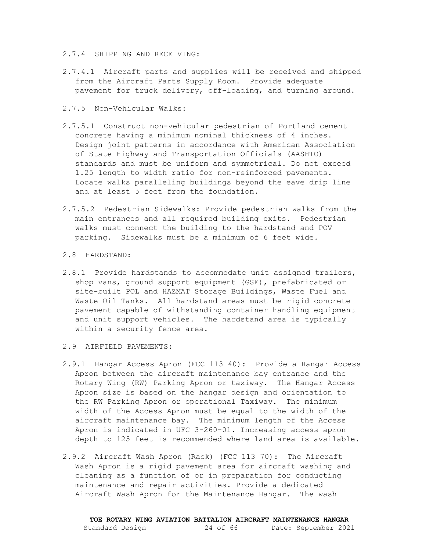#### 2.7.4 SHIPPING AND RECEIVING:

- 2.7.4.1 Aircraft parts and supplies will be received and shipped from the Aircraft Parts Supply Room. Provide adequate pavement for truck delivery, off-loading, and turning around.
- 2.7.5 Non-Vehicular Walks:
- 2.7.5.1 Construct non-vehicular pedestrian of Portland cement concrete having a minimum nominal thickness of 4 inches. Design joint patterns in accordance with American Association of State Highway and Transportation Officials (AASHTO) standards and must be uniform and symmetrical. Do not exceed 1.25 length to width ratio for non-reinforced pavements. Locate walks paralleling buildings beyond the eave drip line and at least 5 feet from the foundation.
- 2.7.5.2 Pedestrian Sidewalks: Provide pedestrian walks from the main entrances and all required building exits. Pedestrian walks must connect the building to the hardstand and POV parking. Sidewalks must be a minimum of 6 feet wide.

#### <span id="page-23-0"></span>2.8 HARDSTAND:

2.8.1 Provide hardstands to accommodate unit assigned trailers, shop vans, ground support equipment (GSE), prefabricated or site-built POL and HAZMAT Storage Buildings, Waste Fuel and Waste Oil Tanks. All hardstand areas must be rigid concrete pavement capable of withstanding container handling equipment and unit support vehicles. The hardstand area is typically within a security fence area.

#### <span id="page-23-1"></span>2.9 AIRFIELD PAVEMENTS:

- 2.9.1 Hangar Access Apron (FCC 113 40): Provide a Hangar Access Apron between the aircraft maintenance bay entrance and the Rotary Wing (RW) Parking Apron or taxiway. The Hangar Access Apron size is based on the hangar design and orientation to the RW Parking Apron or operational Taxiway. The minimum width of the Access Apron must be equal to the width of the aircraft maintenance bay. The minimum length of the Access Apron is indicated in UFC 3-260-01. Increasing access apron depth to 125 feet is recommended where land area is available.
- 2.9.2 Aircraft Wash Apron (Rack) (FCC 113 70): The Aircraft Wash Apron is a rigid pavement area for aircraft washing and cleaning as a function of or in preparation for conducting maintenance and repair activities. Provide a dedicated Aircraft Wash Apron for the Maintenance Hangar. The wash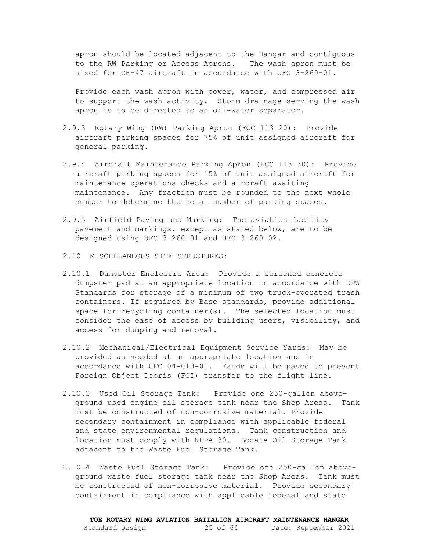apron should be located adjacent to the Hangar and contiguous to the RW Parking or Access Aprons. The wash apron must be sized for CH-47 aircraft in accordance with UFC 3-260-01.

Provide each wash apron with power, water, and compressed air to support the wash activity. Storm drainage serving the wash apron is to be directed to an oil-water separator.

- 2.9.3 Rotary Wing (RW) Parking Apron (FCC 113 20): Provide aircraft parking spaces for 75% of unit assigned aircraft for general parking.
- 2.9.4 Aircraft Maintenance Parking Apron (FCC 113 30): Provide aircraft parking spaces for 15% of unit assigned aircraft for maintenance operations checks and aircraft awaiting maintenance. Any fraction must be rounded to the next whole number to determine the total number of parking spaces.
- 2.9.5 Airfield Paving and Marking: The aviation facility pavement and markings, except as stated below, are to be designed using UFC 3-260-01 and UFC 3-260-02.
- <span id="page-24-0"></span>2.10 MISCELLANEOUS SITE STRUCTURES:
- 2.10.1 Dumpster Enclosure Area: Provide a screened concrete dumpster pad at an appropriate location in accordance with DPW Standards for storage of a minimum of two truck-operated trash containers. If required by Base standards, provide additional space for recycling container(s). The selected location must consider the ease of access by building users, visibility, and access for dumping and removal.
- 2.10.2 Mechanical/Electrical Equipment Service Yards: May be provided as needed at an appropriate location and in accordance with UFC 04-010-01. Yards will be paved to prevent Foreign Object Debris (FOD) transfer to the flight line.
- 2.10.3 Used Oil Storage Tank: Provide one 250-gallon aboveground used engine oil storage tank near the Shop Areas. Tank must be constructed of non-corrosive material. Provide secondary containment in compliance with applicable federal and state environmental regulations. Tank construction and location must comply with NFPA 30. Locate Oil Storage Tank adjacent to the Waste Fuel Storage Tank.
- 2.10.4 Waste Fuel Storage Tank: Provide one 250-gallon aboveground waste fuel storage tank near the Shop Areas. Tank must be constructed of non-corrosive material. Provide secondary containment in compliance with applicable federal and state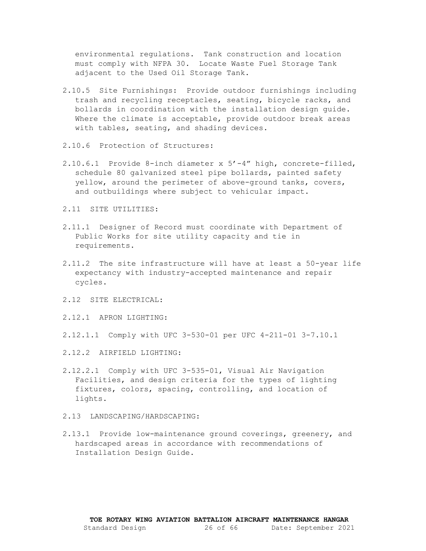environmental regulations. Tank construction and location must comply with NFPA 30. Locate Waste Fuel Storage Tank adjacent to the Used Oil Storage Tank.

- 2.10.5 Site Furnishings: Provide outdoor furnishings including trash and recycling receptacles, seating, bicycle racks, and bollards in coordination with the installation design guide. Where the climate is acceptable, provide outdoor break areas with tables, seating, and shading devices.
- 2.10.6 Protection of Structures:
- 2.10.6.1 Provide 8-inch diameter x 5'-4" high, concrete-filled, schedule 80 galvanized steel pipe bollards, painted safety yellow, around the perimeter of above-ground tanks, covers, and outbuildings where subject to vehicular impact.
- <span id="page-25-0"></span>2.11 SITE UTILITIES:
- 2.11.1 Designer of Record must coordinate with Department of Public Works for site utility capacity and tie in requirements.
- 2.11.2 The site infrastructure will have at least a 50-year life expectancy with industry-accepted maintenance and repair cycles.
- <span id="page-25-1"></span>2.12 SITE ELECTRICAL:
- 2.12.1 APRON LIGHTING:
- 2.12.1.1 Comply with UFC 3-530-01 per UFC 4-211-01 3-7.10.1
- 2.12.2 AIRFIELD LIGHTING:
- 2.12.2.1 Comply with UFC 3-535-01, Visual Air Navigation Facilities, and design criteria for the types of lighting fixtures, colors, spacing, controlling, and location of lights.
- <span id="page-25-2"></span>2.13 LANDSCAPING/HARDSCAPING:
- 2.13.1 Provide low-maintenance ground coverings, greenery, and hardscaped areas in accordance with recommendations of Installation Design Guide.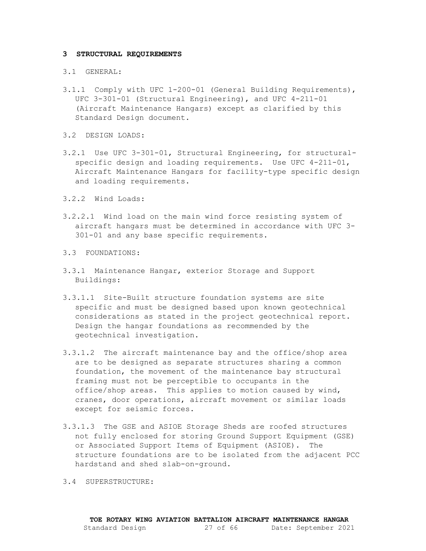#### <span id="page-26-1"></span><span id="page-26-0"></span>**3 STRUCTURAL REQUIREMENTS**

#### 3.1 GENERAL:

- 3.1.1 Comply with UFC 1-200-01 (General Building Requirements), UFC 3-301-01 (Structural Engineering), and UFC 4-211-01 (Aircraft Maintenance Hangars) except as clarified by this Standard Design document.
- <span id="page-26-2"></span>3.2 DESIGN LOADS:
- 3.2.1 Use UFC 3-301-01, Structural Engineering, for structuralspecific design and loading requirements. Use UFC 4-211-01, Aircraft Maintenance Hangars for facility-type specific design and loading requirements.
- 3.2.2 Wind Loads:
- 3.2.2.1 Wind load on the main wind force resisting system of aircraft hangars must be determined in accordance with UFC 3- 301-01 and any base specific requirements.
- <span id="page-26-3"></span>3.3 FOUNDATIONS:
- 3.3.1 Maintenance Hangar, exterior Storage and Support Buildings:
- 3.3.1.1 Site-Built structure foundation systems are site specific and must be designed based upon known geotechnical considerations as stated in the project geotechnical report. Design the hangar foundations as recommended by the geotechnical investigation.
- 3.3.1.2 The aircraft maintenance bay and the office/shop area are to be designed as separate structures sharing a common foundation, the movement of the maintenance bay structural framing must not be perceptible to occupants in the office/shop areas. This applies to motion caused by wind, cranes, door operations, aircraft movement or similar loads except for seismic forces.
- 3.3.1.3 The GSE and ASIOE Storage Sheds are roofed structures not fully enclosed for storing Ground Support Equipment (GSE) or Associated Support Items of Equipment (ASIOE). The structure foundations are to be isolated from the adjacent PCC hardstand and shed slab-on-ground.
- <span id="page-26-4"></span>3.4 SUPERSTRUCTURE: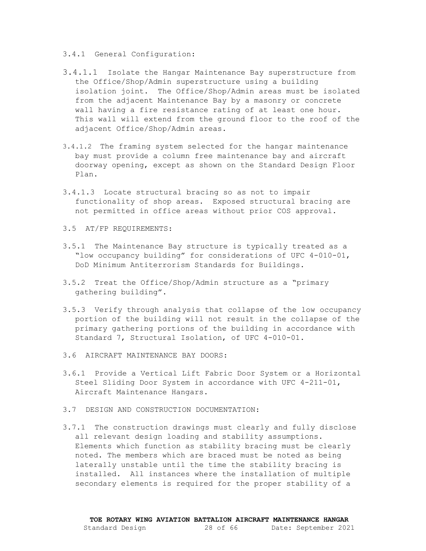- 3.4.1 General Configuration:
- 3.4.1.1 Isolate the Hangar Maintenance Bay superstructure from the Office/Shop/Admin superstructure using a building isolation joint. The Office/Shop/Admin areas must be isolated from the adjacent Maintenance Bay by a masonry or concrete wall having a fire resistance rating of at least one hour. This wall will extend from the ground floor to the roof of the adjacent Office/Shop/Admin areas.
- 3.4.1.2 The framing system selected for the hangar maintenance bay must provide a column free maintenance bay and aircraft doorway opening, except as shown on the Standard Design Floor Plan.
- 3.4.1.3 Locate structural bracing so as not to impair functionality of shop areas. Exposed structural bracing are not permitted in office areas without prior COS approval.
- <span id="page-27-0"></span>3.5 AT/FP REQUIREMENTS:
- 3.5.1 The Maintenance Bay structure is typically treated as a "low occupancy building" for considerations of UFC 4-010-01, DoD Minimum Antiterrorism Standards for Buildings.
- 3.5.2 Treat the Office/Shop/Admin structure as a "primary gathering building".
- 3.5.3 Verify through analysis that collapse of the low occupancy portion of the building will not result in the collapse of the primary gathering portions of the building in accordance with Standard 7, Structural Isolation, of UFC 4-010-01.
- <span id="page-27-1"></span>3.6 AIRCRAFT MAINTENANCE BAY DOORS:
- 3.6.1 Provide a Vertical Lift Fabric Door System or a Horizontal Steel Sliding Door System in accordance with UFC 4-211-01, Aircraft Maintenance Hangars.
- <span id="page-27-2"></span>3.7 DESIGN AND CONSTRUCTION DOCUMENTATION:
- 3.7.1 The construction drawings must clearly and fully disclose all relevant design loading and stability assumptions. Elements which function as stability bracing must be clearly noted. The members which are braced must be noted as being laterally unstable until the time the stability bracing is installed. All instances where the installation of multiple secondary elements is required for the proper stability of a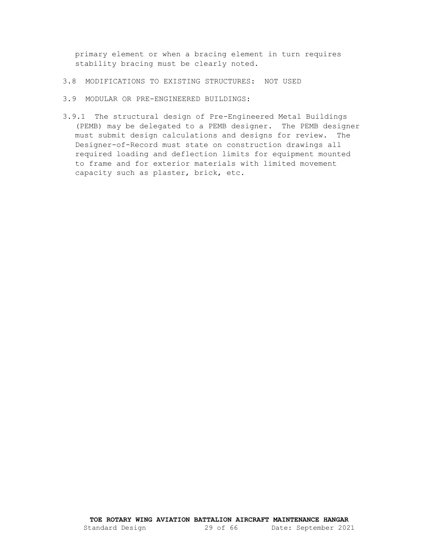primary element or when a bracing element in turn requires stability bracing must be clearly noted.

- <span id="page-28-0"></span>3.8 MODIFICATIONS TO EXISTING STRUCTURES: NOT USED
- <span id="page-28-1"></span>3.9 MODULAR OR PRE-ENGINEERED BUILDINGS:
- 3.9.1 The structural design of Pre-Engineered Metal Buildings (PEMB) may be delegated to a PEMB designer. The PEMB designer must submit design calculations and designs for review. The Designer-of-Record must state on construction drawings all required loading and deflection limits for equipment mounted to frame and for exterior materials with limited movement capacity such as plaster, brick, etc.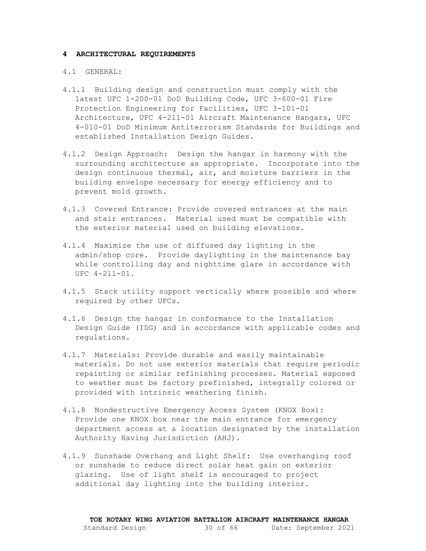#### <span id="page-29-1"></span><span id="page-29-0"></span>**4 ARCHITECTURAL REQUIREMENTS**

#### 4.1 GENERAL:

- 4.1.1 Building design and construction must comply with the latest UFC 1-200-01 DoD Building Code, UFC 3-600-01 Fire Protection Engineering for Facilities, UFC 3-101-01 Architecture, UFC 4-211-01 Aircraft Maintenance Hangars, UFC 4-010-01 DoD Minimum Antiterrorism Standards for Buildings and established Installation Design Guides.
- 4.1.2 Design Approach: Design the hangar in harmony with the surrounding architecture as appropriate. Incorporate into the design continuous thermal, air, and moisture barriers in the building envelope necessary for energy efficiency and to prevent mold growth.
- 4.1.3 Covered Entrance: Provide covered entrances at the main and stair entrances. Material used must be compatible with the exterior material used on building elevations.
- 4.1.4 Maximize the use of diffused day lighting in the admin/shop core. Provide daylighting in the maintenance bay while controlling day and nighttime glare in accordance with UFC 4-211-01.
- 4.1.5 Stack utility support vertically where possible and where required by other UFCs.
- 4.1.6 Design the hangar in conformance to the Installation Design Guide (IDG) and in accordance with applicable codes and regulations.
- 4.1.7 Materials: Provide durable and easily maintainable materials. Do not use exterior materials that require periodic repainting or similar refinishing processes. Material exposed to weather must be factory prefinished, integrally colored or provided with intrinsic weathering finish.
- 4.1.8 Nondestructive Emergency Access System (KNOX Box): Provide one KNOX box near the main entrance for emergency department access at a location designated by the installation Authority Having Jurisdiction (AHJ).
- 4.1.9 Sunshade Overhang and Light Shelf: Use overhanging roof or sunshade to reduce direct solar heat gain on exterior glazing. Use of light shelf is encouraged to project additional day lighting into the building interior.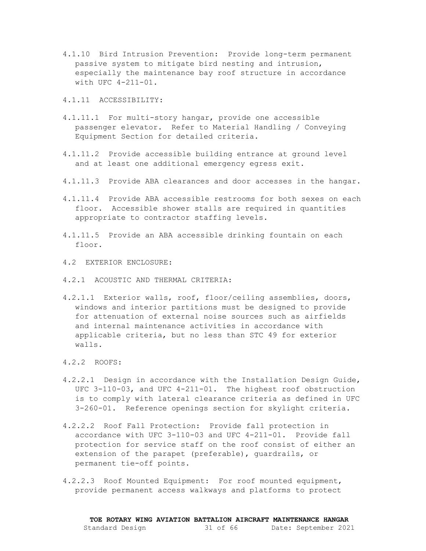4.1.10 Bird Intrusion Prevention: Provide long-term permanent passive system to mitigate bird nesting and intrusion, especially the maintenance bay roof structure in accordance with UFC 4-211-01.

4.1.11 ACCESSIBILITY:

- 4.1.11.1 For multi-story hangar, provide one accessible passenger elevator. Refer to Material Handling / Conveying Equipment Section for detailed criteria.
- 4.1.11.2 Provide accessible building entrance at ground level and at least one additional emergency egress exit.
- 4.1.11.3 Provide ABA clearances and door accesses in the hangar.
- 4.1.11.4 Provide ABA accessible restrooms for both sexes on each floor. Accessible shower stalls are required in quantities appropriate to contractor staffing levels.
- 4.1.11.5 Provide an ABA accessible drinking fountain on each floor.
- <span id="page-30-0"></span>4.2 EXTERIOR ENCLOSURE:
- 4.2.1 ACOUSTIC AND THERMAL CRITERIA:
- 4.2.1.1 Exterior walls, roof, floor/ceiling assemblies, doors, windows and interior partitions must be designed to provide for attenuation of external noise sources such as airfields and internal maintenance activities in accordance with applicable criteria, but no less than STC 49 for exterior walls.
- 4.2.2 ROOFS:
- 4.2.2.1 Design in accordance with the Installation Design Guide, UFC 3-110-03, and UFC 4-211-01. The highest roof obstruction is to comply with lateral clearance criteria as defined in UFC 3-260-01. Reference openings section for skylight criteria.
- 4.2.2.2 Roof Fall Protection: Provide fall protection in accordance with UFC 3-110-03 and UFC 4-211-01. Provide fall protection for service staff on the roof consist of either an extension of the parapet (preferable), guardrails, or permanent tie-off points.
- 4.2.2.3 Roof Mounted Equipment: For roof mounted equipment, provide permanent access walkways and platforms to protect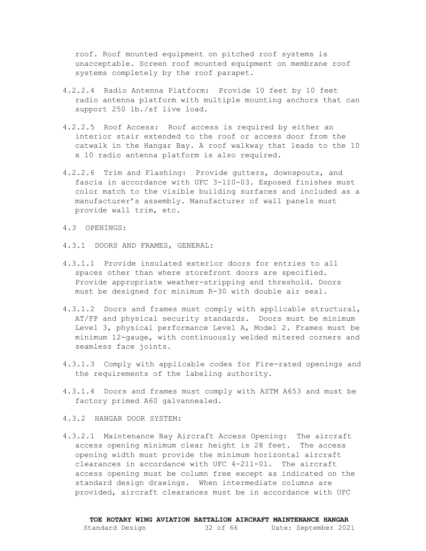roof. Roof mounted equipment on pitched roof systems is unacceptable. Screen roof mounted equipment on membrane roof systems completely by the roof parapet.

- 4.2.2.4 Radio Antenna Platform: Provide 10 feet by 10 feet radio antenna platform with multiple mounting anchors that can support 250 lb./sf live load.
- 4.2.2.5 Roof Access: Roof access is required by either an interior stair extended to the roof or access door from the catwalk in the Hangar Bay. A roof walkway that leads to the 10 x 10 radio antenna platform is also required.
- 4.2.2.6 Trim and Flashing: Provide gutters, downspouts, and fascia in accordance with UFC 3-110-03. Exposed finishes must color match to the visible building surfaces and included as a manufacturer's assembly. Manufacturer of wall panels must provide wall trim, etc.
- <span id="page-31-0"></span>4.3 OPENINGS:
- 4.3.1 DOORS AND FRAMES, GENERAL:
- 4.3.1.1 Provide insulated exterior doors for entries to all spaces other than where storefront doors are specified. Provide appropriate weather-stripping and threshold. Doors must be designed for minimum R-30 with double air seal.
- 4.3.1.2 Doors and frames must comply with applicable structural, AT/FP and physical security standards. Doors must be minimum Level 3, physical performance Level A, Model 2. Frames must be minimum 12-gauge, with continuously welded mitered corners and seamless face joints.
- 4.3.1.3 Comply with applicable codes for Fire-rated openings and the requirements of the labeling authority.
- 4.3.1.4 Doors and frames must comply with ASTM A653 and must be factory primed A60 galvannealed.
- 4.3.2 HANGAR DOOR SYSTEM:
- 4.3.2.1 Maintenance Bay Aircraft Access Opening: The aircraft access opening minimum clear height is 28 feet. The access opening width must provide the minimum horizontal aircraft clearances in accordance with UFC 4-211-01. The aircraft access opening must be column free except as indicated on the standard design drawings. When intermediate columns are provided, aircraft clearances must be in accordance with UFC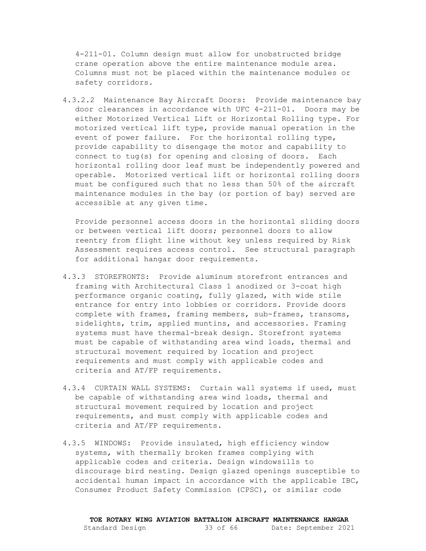4-211-01. Column design must allow for unobstructed bridge crane operation above the entire maintenance module area. Columns must not be placed within the maintenance modules or safety corridors.

4.3.2.2 Maintenance Bay Aircraft Doors: Provide maintenance bay door clearances in accordance with UFC 4-211-01. Doors may be either Motorized Vertical Lift or Horizontal Rolling type. For motorized vertical lift type, provide manual operation in the event of power failure. For the horizontal rolling type, provide capability to disengage the motor and capability to connect to tug(s) for opening and closing of doors. Each horizontal rolling door leaf must be independently powered and operable. Motorized vertical lift or horizontal rolling doors must be configured such that no less than 50% of the aircraft maintenance modules in the bay (or portion of bay) served are accessible at any given time.

Provide personnel access doors in the horizontal sliding doors or between vertical lift doors; personnel doors to allow reentry from flight line without key unless required by Risk Assessment requires access control. See structural paragraph for additional hangar door requirements.

- 4.3.3 STOREFRONTS: Provide aluminum storefront entrances and framing with Architectural Class 1 anodized or 3-coat high performance organic coating, fully glazed, with wide stile entrance for entry into lobbies or corridors. Provide doors complete with frames, framing members, sub-frames, transoms, sidelights, trim, applied muntins, and accessories. Framing systems must have thermal-break design. Storefront systems must be capable of withstanding area wind loads, thermal and structural movement required by location and project requirements and must comply with applicable codes and criteria and AT/FP requirements.
- 4.3.4 CURTAIN WALL SYSTEMS: Curtain wall systems if used, must be capable of withstanding area wind loads, thermal and structural movement required by location and project requirements, and must comply with applicable codes and criteria and AT/FP requirements.
- 4.3.5 WINDOWS: Provide insulated, high efficiency window systems, with thermally broken frames complying with applicable codes and criteria. Design windowsills to discourage bird nesting. Design glazed openings susceptible to accidental human impact in accordance with the applicable IBC, Consumer Product Safety Commission (CPSC), or similar code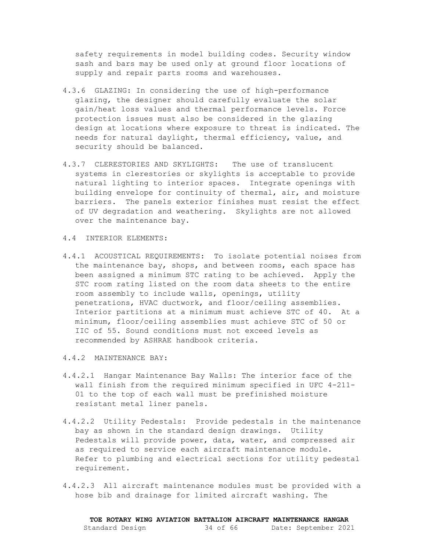safety requirements in model building codes. Security window sash and bars may be used only at ground floor locations of supply and repair parts rooms and warehouses.

- 4.3.6 GLAZING: In considering the use of high-performance glazing, the designer should carefully evaluate the solar gain/heat loss values and thermal performance levels. Force protection issues must also be considered in the glazing design at locations where exposure to threat is indicated. The needs for natural daylight, thermal efficiency, value, and security should be balanced.
- 4.3.7 CLERESTORIES AND SKYLIGHTS: The use of translucent systems in clerestories or skylights is acceptable to provide natural lighting to interior spaces. Integrate openings with building envelope for continuity of thermal, air, and moisture barriers. The panels exterior finishes must resist the effect of UV degradation and weathering. Skylights are not allowed over the maintenance bay.
- <span id="page-33-0"></span>4.4 INTERIOR ELEMENTS:
- 4.4.1 ACOUSTICAL REQUIREMENTS: To isolate potential noises from the maintenance bay, shops, and between rooms, each space has been assigned a minimum STC rating to be achieved. Apply the STC room rating listed on the room data sheets to the entire room assembly to include walls, openings, utility penetrations, HVAC ductwork, and floor/ceiling assemblies. Interior partitions at a minimum must achieve STC of 40. At a minimum, floor/ceiling assemblies must achieve STC of 50 or IIC of 55. Sound conditions must not exceed levels as recommended by ASHRAE handbook criteria.
- 4.4.2 MAINTENANCE BAY:
- 4.4.2.1 Hangar Maintenance Bay Walls: The interior face of the wall finish from the required minimum specified in UFC 4-211- 01 to the top of each wall must be prefinished moisture resistant metal liner panels.
- 4.4.2.2 Utility Pedestals: Provide pedestals in the maintenance bay as shown in the standard design drawings. Utility Pedestals will provide power, data, water, and compressed air as required to service each aircraft maintenance module. Refer to plumbing and electrical sections for utility pedestal requirement.
- 4.4.2.3 All aircraft maintenance modules must be provided with a hose bib and drainage for limited aircraft washing. The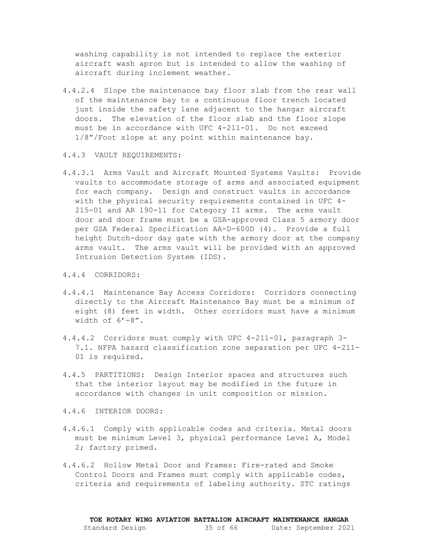washing capability is not intended to replace the exterior aircraft wash apron but is intended to allow the washing of aircraft during inclement weather.

- 4.4.2.4 Slope the maintenance bay floor slab from the rear wall of the maintenance bay to a continuous floor trench located just inside the safety lane adjacent to the hangar aircraft doors. The elevation of the floor slab and the floor slope must be in accordance with UFC 4-211-01. Do not exceed 1/8"/Foot slope at any point within maintenance bay.
- 4.4.3 VAULT REQUIREMENTS:
- 4.4.3.1 Arms Vault and Aircraft Mounted Systems Vaults: Provide vaults to accommodate storage of arms and associated equipment for each company. Design and construct vaults in accordance with the physical security requirements contained in UFC 4- 215-01 and AR 190-11 for Category II arms. The arms vault door and door frame must be a GSA-approved Class 5 armory door per GSA Federal Specification AA-D-600D (4). Provide a full height Dutch-door day gate with the armory door at the company arms vault. The arms vault will be provided with an approved Intrusion Detection System (IDS).
- 4.4.4 CORRIDORS:
- 4.4.4.1 Maintenance Bay Access Corridors: Corridors connecting directly to the Aircraft Maintenance Bay must be a minimum of eight (8) feet in width. Other corridors must have a minimum width of  $6'-8''$ .
- 4.4.4.2 Corridors must comply with UFC 4-211-01, paragraph 3- 7.1. NFPA hazard classification zone separation per UFC 4-211- 01 is required.
- 4.4.5 PARTITIONS: Design Interior spaces and structures such that the interior layout may be modified in the future in accordance with changes in unit composition or mission.

4.4.6 INTERIOR DOORS:

- 4.4.6.1 Comply with applicable codes and criteria. Metal doors must be minimum Level 3, physical performance Level A, Model 2; factory primed.
- 4.4.6.2 Hollow Metal Door and Frames: Fire-rated and Smoke Control Doors and Frames must comply with applicable codes, criteria and requirements of labeling authority. STC ratings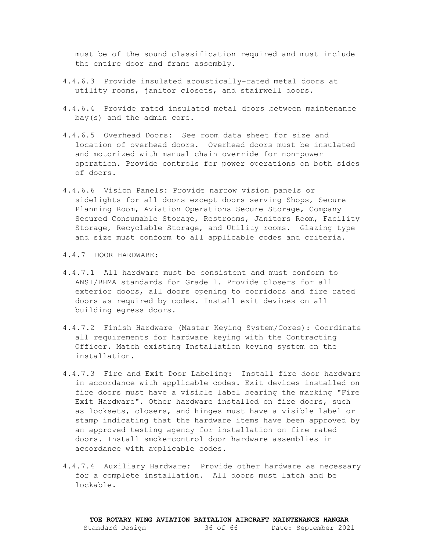must be of the sound classification required and must include the entire door and frame assembly.

- 4.4.6.3 Provide insulated acoustically-rated metal doors at utility rooms, janitor closets, and stairwell doors.
- 4.4.6.4 Provide rated insulated metal doors between maintenance bay(s) and the admin core.
- 4.4.6.5 Overhead Doors: See room data sheet for size and location of overhead doors. Overhead doors must be insulated and motorized with manual chain override for non-power operation. Provide controls for power operations on both sides of doors.
- 4.4.6.6 Vision Panels: Provide narrow vision panels or sidelights for all doors except doors serving Shops, Secure Planning Room, Aviation Operations Secure Storage, Company Secured Consumable Storage, Restrooms, Janitors Room, Facility Storage, Recyclable Storage, and Utility rooms. Glazing type and size must conform to all applicable codes and criteria.

4.4.7 DOOR HARDWARE:

- 4.4.7.1 All hardware must be consistent and must conform to ANSI/BHMA standards for Grade 1. Provide closers for all exterior doors, all doors opening to corridors and fire rated doors as required by codes. Install exit devices on all building egress doors.
- 4.4.7.2 Finish Hardware (Master Keying System/Cores): Coordinate all requirements for hardware keying with the Contracting Officer. Match existing Installation keying system on the installation.
- 4.4.7.3 Fire and Exit Door Labeling: Install fire door hardware in accordance with applicable codes. Exit devices installed on fire doors must have a visible label bearing the marking "Fire Exit Hardware". Other hardware installed on fire doors, such as locksets, closers, and hinges must have a visible label or stamp indicating that the hardware items have been approved by an approved testing agency for installation on fire rated doors. Install smoke-control door hardware assemblies in accordance with applicable codes.
- 4.4.7.4 Auxiliary Hardware: Provide other hardware as necessary for a complete installation. All doors must latch and be lockable.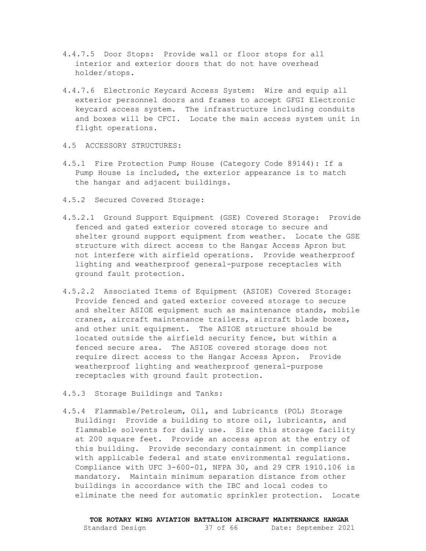- 4.4.7.5 Door Stops: Provide wall or floor stops for all interior and exterior doors that do not have overhead holder/stops.
- 4.4.7.6 Electronic Keycard Access System: Wire and equip all exterior personnel doors and frames to accept GFGI Electronic keycard access system. The infrastructure including conduits and boxes will be CFCI. Locate the main access system unit in flight operations.
- <span id="page-36-0"></span>4.5 ACCESSORY STRUCTURES:
- 4.5.1 Fire Protection Pump House (Category Code 89144): If a Pump House is included, the exterior appearance is to match the hangar and adjacent buildings.
- 4.5.2 Secured Covered Storage:
- 4.5.2.1 Ground Support Equipment (GSE) Covered Storage: Provide fenced and gated exterior covered storage to secure and shelter ground support equipment from weather. Locate the GSE structure with direct access to the Hangar Access Apron but not interfere with airfield operations. Provide weatherproof lighting and weatherproof general-purpose receptacles with ground fault protection.
- 4.5.2.2 Associated Items of Equipment (ASIOE) Covered Storage: Provide fenced and gated exterior covered storage to secure and shelter ASIOE equipment such as maintenance stands, mobile cranes, aircraft maintenance trailers, aircraft blade boxes, and other unit equipment. The ASIOE structure should be located outside the airfield security fence, but within a fenced secure area. The ASIOE covered storage does not require direct access to the Hangar Access Apron. Provide weatherproof lighting and weatherproof general-purpose receptacles with ground fault protection.
- 4.5.3 Storage Buildings and Tanks:
- 4.5.4 Flammable/Petroleum, Oil, and Lubricants (POL) Storage Building: Provide a building to store oil, lubricants, and flammable solvents for daily use. Size this storage facility at 200 square feet. Provide an access apron at the entry of this building. Provide secondary containment in compliance with applicable federal and state environmental regulations. Compliance with UFC 3-600-01, NFPA 30, and 29 CFR 1910.106 is mandatory. Maintain minimum separation distance from other buildings in accordance with the IBC and local codes to eliminate the need for automatic sprinkler protection. Locate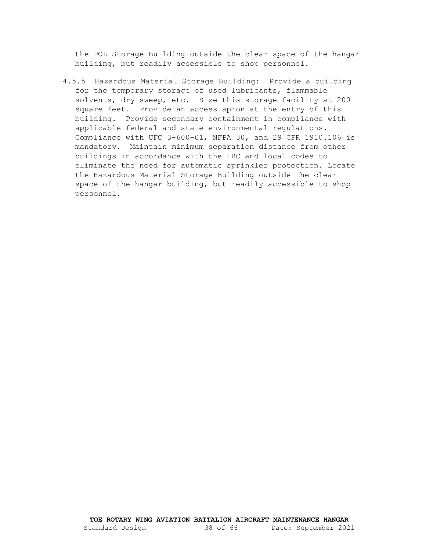the POL Storage Building outside the clear space of the hangar building, but readily accessible to shop personnel.

4.5.5 Hazardous Material Storage Building: Provide a building for the temporary storage of used lubricants, flammable solvents, dry sweep, etc. Size this storage facility at 200 square feet. Provide an access apron at the entry of this building. Provide secondary containment in compliance with applicable federal and state environmental regulations. Compliance with UFC 3-600-01, NFPA 30, and 29 CFR 1910.106 is mandatory. Maintain minimum separation distance from other buildings in accordance with the IBC and local codes to eliminate the need for automatic sprinkler protection. Locate the Hazardous Material Storage Building outside the clear space of the hangar building, but readily accessible to shop personnel.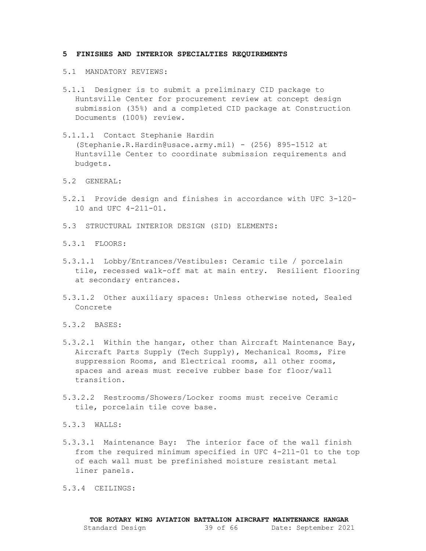#### <span id="page-38-1"></span><span id="page-38-0"></span>**5 FINISHES AND INTERIOR SPECIALTIES REQUIREMENTS**

- 5.1 MANDATORY REVIEWS:
- 5.1.1 Designer is to submit a preliminary CID package to Huntsville Center for procurement review at concept design submission (35%) and a completed CID package at Construction Documents (100%) review.
- 5.1.1.1 Contact Stephanie Hardin (Stephanie.R.Hardin@usace.army.mil) - (256) 895-1512 at Huntsville Center to coordinate submission requirements and budgets.
- <span id="page-38-2"></span>5.2 GENERAL:
- 5.2.1 Provide design and finishes in accordance with UFC 3-120- 10 and UFC 4-211-01.
- <span id="page-38-3"></span>5.3 STRUCTURAL INTERIOR DESIGN (SID) ELEMENTS:
- 5.3.1 FLOORS:
- 5.3.1.1 Lobby/Entrances/Vestibules: Ceramic tile / porcelain tile, recessed walk-off mat at main entry. Resilient flooring at secondary entrances.
- 5.3.1.2 Other auxiliary spaces: Unless otherwise noted, Sealed Concrete
- 5.3.2 BASES:
- 5.3.2.1 Within the hangar, other than Aircraft Maintenance Bay, Aircraft Parts Supply (Tech Supply), Mechanical Rooms, Fire suppression Rooms, and Electrical rooms, all other rooms, spaces and areas must receive rubber base for floor/wall transition.
- 5.3.2.2 Restrooms/Showers/Locker rooms must receive Ceramic tile, porcelain tile cove base.

5.3.3 WALLS:

5.3.3.1 Maintenance Bay: The interior face of the wall finish from the required minimum specified in UFC 4-211-01 to the top of each wall must be prefinished moisture resistant metal liner panels.

5.3.4 CEILINGS: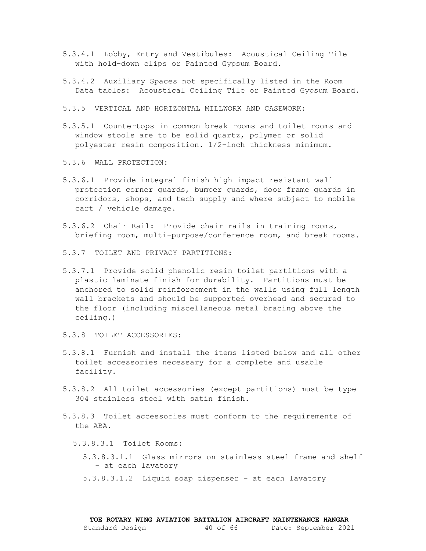- 5.3.4.1 Lobby, Entry and Vestibules: Acoustical Ceiling Tile with hold-down clips or Painted Gypsum Board.
- 5.3.4.2 Auxiliary Spaces not specifically listed in the Room Data tables: Acoustical Ceiling Tile or Painted Gypsum Board.
- 5.3.5 VERTICAL AND HORIZONTAL MILLWORK AND CASEWORK:
- 5.3.5.1 Countertops in common break rooms and toilet rooms and window stools are to be solid quartz, polymer or solid polyester resin composition. 1/2-inch thickness minimum.
- 5.3.6 WALL PROTECTION:
- 5.3.6.1 Provide integral finish high impact resistant wall protection corner guards, bumper guards, door frame guards in corridors, shops, and tech supply and where subject to mobile cart / vehicle damage.
- 5.3.6.2 Chair Rail: Provide chair rails in training rooms, briefing room, multi-purpose/conference room, and break rooms.
- 5.3.7 TOILET AND PRIVACY PARTITIONS:
- 5.3.7.1 Provide solid phenolic resin toilet partitions with a plastic laminate finish for durability. Partitions must be anchored to solid reinforcement in the walls using full length wall brackets and should be supported overhead and secured to the floor (including miscellaneous metal bracing above the ceiling.)
- 5.3.8 TOILET ACCESSORIES:
- 5.3.8.1 Furnish and install the items listed below and all other toilet accessories necessary for a complete and usable facility.
- 5.3.8.2 All toilet accessories (except partitions) must be type 304 stainless steel with satin finish.
- 5.3.8.3 Toilet accessories must conform to the requirements of the ABA.
	- 5.3.8.3.1 Toilet Rooms:
		- 5.3.8.3.1.1 Glass mirrors on stainless steel frame and shelf – at each lavatory
		- 5.3.8.3.1.2 Liquid soap dispenser at each lavatory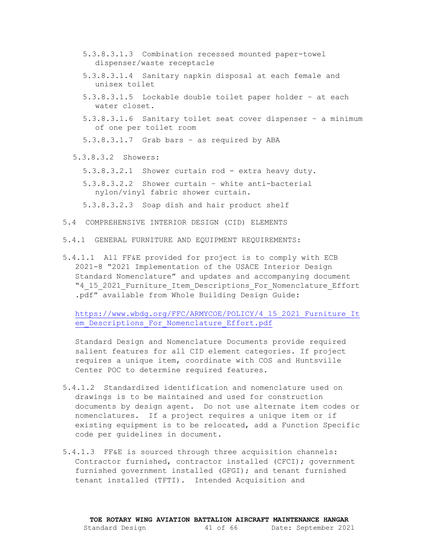- 5.3.8.3.1.3 Combination recessed mounted paper-towel dispenser/waste receptacle
- 5.3.8.3.1.4 Sanitary napkin disposal at each female and unisex toilet
- 5.3.8.3.1.5 Lockable double toilet paper holder at each water closet.
- 5.3.8.3.1.6 Sanitary toilet seat cover dispenser a minimum of one per toilet room
- 5.3.8.3.1.7 Grab bars as required by ABA
- 5.3.8.3.2 Showers:
	- 5.3.8.3.2.1 Shower curtain rod extra heavy duty.
	- 5.3.8.3.2.2 Shower curtain white anti-bacterial nylon/vinyl fabric shower curtain.

5.3.8.3.2.3 Soap dish and hair product shelf

- <span id="page-40-0"></span>5.4 COMPREHENSIVE INTERIOR DESIGN (CID) ELEMENTS
- 5.4.1 GENERAL FURNITURE AND EQUIPMENT REQUIREMENTS:
- 5.4.1.1 All FF&E provided for project is to comply with ECB 2021-8 "2021 Implementation of the USACE Interior Design Standard Nomenclature" and updates and accompanying document "4\_15\_2021\_Furniture\_Item\_Descriptions\_For\_Nomenclature\_Effort .pdf" available from Whole Building Design Guide:

[https://www.wbdg.org/FFC/ARMYCOE/POLICY/4\\_15\\_2021\\_Furniture\\_It](https://www.wbdg.org/FFC/ARMYCOE/POLICY/4_15_2021_Furniture_Item_Descriptions_For_Nomenclature_Effort.pdf) [em\\_Descriptions\\_For\\_Nomenclature\\_Effort.pdf](https://www.wbdg.org/FFC/ARMYCOE/POLICY/4_15_2021_Furniture_Item_Descriptions_For_Nomenclature_Effort.pdf)

Standard Design and Nomenclature Documents provide required salient features for all CID element categories. If project requires a unique item, coordinate with COS and Huntsville Center POC to determine required features.

- 5.4.1.2 Standardized identification and nomenclature used on drawings is to be maintained and used for construction documents by design agent. Do not use alternate item codes or nomenclatures. If a project requires a unique item or if existing equipment is to be relocated, add a Function Specific code per guidelines in document.
- 5.4.1.3 FF&E is sourced through three acquisition channels: Contractor furnished, contractor installed (CFCI); government furnished government installed (GFGI); and tenant furnished tenant installed (TFTI). Intended Acquisition and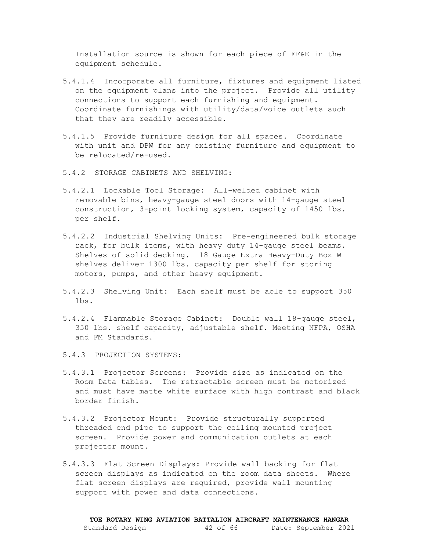Installation source is shown for each piece of FF&E in the equipment schedule.

- 5.4.1.4 Incorporate all furniture, fixtures and equipment listed on the equipment plans into the project. Provide all utility connections to support each furnishing and equipment. Coordinate furnishings with utility/data/voice outlets such that they are readily accessible.
- 5.4.1.5 Provide furniture design for all spaces. Coordinate with unit and DPW for any existing furniture and equipment to be relocated/re-used.
- 5.4.2 STORAGE CABINETS AND SHELVING:
- 5.4.2.1 Lockable Tool Storage: All-welded cabinet with removable bins, heavy-gauge steel doors with 14-gauge steel construction, 3-point locking system, capacity of 1450 lbs. per shelf.
- 5.4.2.2 Industrial Shelving Units: Pre-engineered bulk storage rack, for bulk items, with heavy duty 14-gauge steel beams. Shelves of solid decking. 18 Gauge Extra Heavy-Duty Box W shelves deliver 1300 lbs. capacity per shelf for storing motors, pumps, and other heavy equipment.
- 5.4.2.3 Shelving Unit: Each shelf must be able to support 350 lbs.
- 5.4.2.4 Flammable Storage Cabinet: Double wall 18-gauge steel, 350 lbs. shelf capacity, adjustable shelf. Meeting NFPA, OSHA and FM Standards.
- 5.4.3 PROJECTION SYSTEMS:
- 5.4.3.1 Projector Screens: Provide size as indicated on the Room Data tables. The retractable screen must be motorized and must have matte white surface with high contrast and black border finish.
- 5.4.3.2 Projector Mount: Provide structurally supported threaded end pipe to support the ceiling mounted project screen. Provide power and communication outlets at each projector mount.
- 5.4.3.3 Flat Screen Displays: Provide wall backing for flat screen displays as indicated on the room data sheets. Where flat screen displays are required, provide wall mounting support with power and data connections.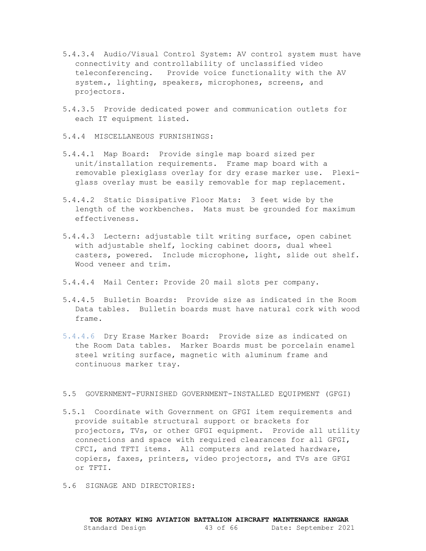- 5.4.3.4 Audio/Visual Control System: AV control system must have connectivity and controllability of unclassified video teleconferencing. Provide voice functionality with the AV system., lighting, speakers, microphones, screens, and projectors.
- 5.4.3.5 Provide dedicated power and communication outlets for each IT equipment listed.
- 5.4.4 MISCELLANEOUS FURNISHINGS:
- 5.4.4.1 Map Board: Provide single map board sized per unit/installation requirements. Frame map board with a removable plexiglass overlay for dry erase marker use. Plexiglass overlay must be easily removable for map replacement.
- 5.4.4.2 Static Dissipative Floor Mats: 3 feet wide by the length of the workbenches. Mats must be grounded for maximum effectiveness.
- 5.4.4.3 Lectern: adjustable tilt writing surface, open cabinet with adjustable shelf, locking cabinet doors, dual wheel casters, powered. Include microphone, light, slide out shelf. Wood veneer and trim.
- 5.4.4.4 Mail Center: Provide 20 mail slots per company.
- 5.4.4.5 Bulletin Boards: Provide size as indicated in the Room Data tables. Bulletin boards must have natural cork with wood frame.
- 5.4.4.6 Dry Erase Marker Board: Provide size as indicated on the Room Data tables. Marker Boards must be porcelain enamel steel writing surface, magnetic with aluminum frame and continuous marker tray.

#### <span id="page-42-0"></span>5.5 GOVERNMENT-FURNISHED GOVERNMENT-INSTALLED EQUIPMENT (GFGI)

- 5.5.1 Coordinate with Government on GFGI item requirements and provide suitable structural support or brackets for projectors, TVs, or other GFGI equipment. Provide all utility connections and space with required clearances for all GFGI, CFCI, and TFTI items. All computers and related hardware, copiers, faxes, printers, video projectors, and TVs are GFGI or TFTI.
- <span id="page-42-1"></span>5.6 SIGNAGE AND DIRECTORIES: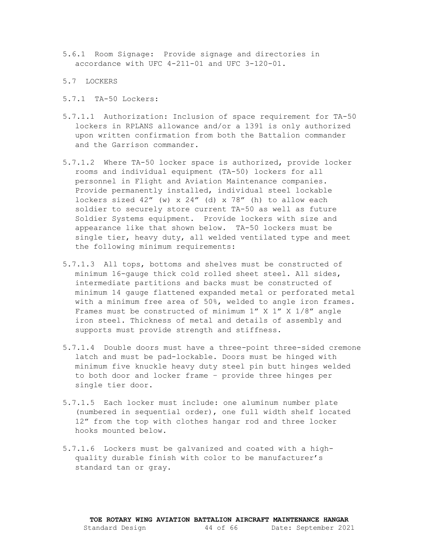- 5.6.1 Room Signage: Provide signage and directories in accordance with UFC 4-211-01 and UFC 3-120-01.
- <span id="page-43-0"></span>5.7 LOCKERS
- 5.7.1 TA-50 Lockers:
- 5.7.1.1 Authorization: Inclusion of space requirement for TA-50 lockers in RPLANS allowance and/or a 1391 is only authorized upon written confirmation from both the Battalion commander and the Garrison commander.
- 5.7.1.2 Where TA-50 locker space is authorized, provide locker rooms and individual equipment (TA-50) lockers for all personnel in Flight and Aviation Maintenance companies. Provide permanently installed, individual steel lockable lockers sized 42" (w) x 24" (d) x 78" (h) to allow each soldier to securely store current TA-50 as well as future Soldier Systems equipment. Provide lockers with size and appearance like that shown below. TA-50 lockers must be single tier, heavy duty, all welded ventilated type and meet the following minimum requirements:
- 5.7.1.3 All tops, bottoms and shelves must be constructed of minimum 16-gauge thick cold rolled sheet steel. All sides, intermediate partitions and backs must be constructed of minimum 14 gauge flattened expanded metal or perforated metal with a minimum free area of 50%, welded to angle iron frames. Frames must be constructed of minimum 1" X 1" X 1/8" angle iron steel. Thickness of metal and details of assembly and supports must provide strength and stiffness.
- 5.7.1.4 Double doors must have a three-point three-sided cremone latch and must be pad-lockable. Doors must be hinged with minimum five knuckle heavy duty steel pin butt hinges welded to both door and locker frame – provide three hinges per single tier door.
- 5.7.1.5 Each locker must include: one aluminum number plate (numbered in sequential order), one full width shelf located 12" from the top with clothes hangar rod and three locker hooks mounted below.
- 5.7.1.6 Lockers must be galvanized and coated with a highquality durable finish with color to be manufacturer's standard tan or gray.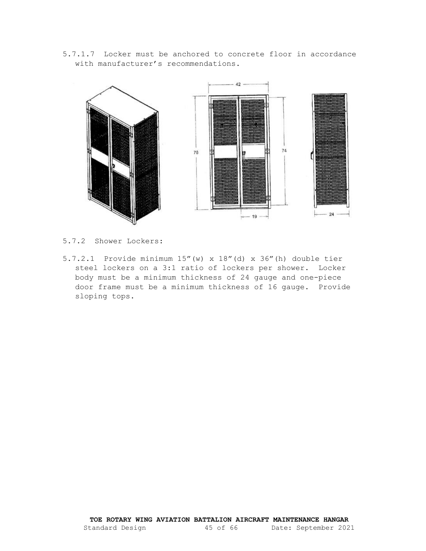5.7.1.7 Locker must be anchored to concrete floor in accordance with manufacturer's recommendations.



5.7.2 Shower Lockers:

5.7.2.1 Provide minimum 15"(w) x 18"(d) x 36"(h) double tier steel lockers on a 3:1 ratio of lockers per shower. Locker body must be a minimum thickness of 24 gauge and one-piece door frame must be a minimum thickness of 16 gauge. Provide sloping tops.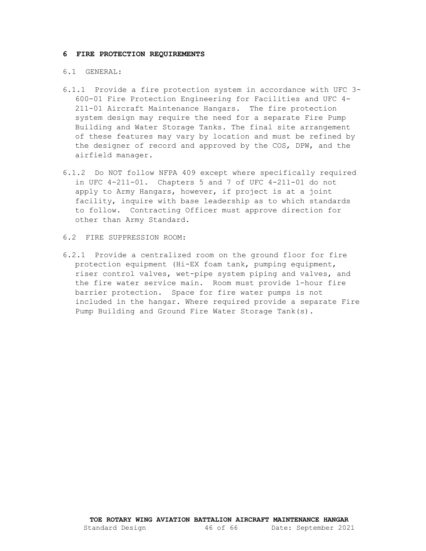#### <span id="page-45-0"></span>**6 FIRE PROTECTION REQUIREMENTS**

#### <span id="page-45-1"></span>6.1 GENERAL:

- 6.1.1 Provide a fire protection system in accordance with UFC 3- 600-01 Fire Protection Engineering for Facilities and UFC 4- 211-01 Aircraft Maintenance Hangars. The fire protection system design may require the need for a separate Fire Pump Building and Water Storage Tanks. The final site arrangement of these features may vary by location and must be refined by the designer of record and approved by the COS, DPW, and the airfield manager.
- 6.1.2 Do NOT follow NFPA 409 except where specifically required in UFC 4-211-01. Chapters 5 and 7 of UFC 4-211-01 do not apply to Army Hangars, however, if project is at a joint facility, inquire with base leadership as to which standards to follow. Contracting Officer must approve direction for other than Army Standard.
- <span id="page-45-2"></span>6.2 FIRE SUPPRESSION ROOM:
- 6.2.1 Provide a centralized room on the ground floor for fire protection equipment (Hi-EX foam tank, pumping equipment, riser control valves, wet-pipe system piping and valves, and the fire water service main. Room must provide 1-hour fire barrier protection. Space for fire water pumps is not included in the hangar. Where required provide a separate Fire Pump Building and Ground Fire Water Storage Tank(s).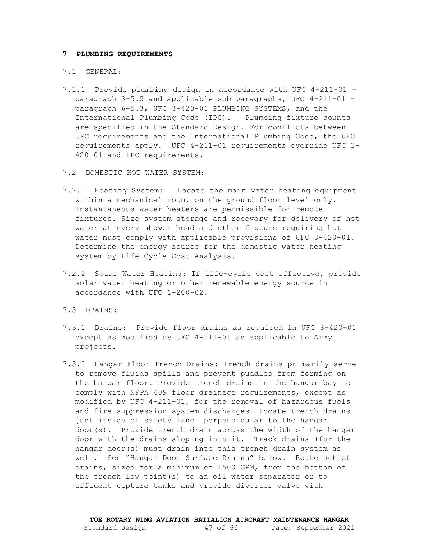#### <span id="page-46-1"></span><span id="page-46-0"></span>**7 PLUMBING REQUIREMENTS**

#### 7.1 GENERAL:

- 7.1.1 Provide plumbing design in accordance with UFC 4-211-01 paragraph 3-5.5 and applicable sub paragraphs, UFC 4-211-01 – paragraph 6-5.3, UFC 3-420-01 PLUMBING SYSTEMS, and the International Plumbing Code (IPC). Plumbing fixture counts are specified in the Standard Design. For conflicts between UFC requirements and the International Plumbing Code, the UFC requirements apply. UFC 4-211-01 requirements override UFC 3- 420-01 and IPC requirements.
- <span id="page-46-2"></span>7.2 DOMESTIC HOT WATER SYSTEM:
- 7.2.1 Heating System: Locate the main water heating equipment within a mechanical room, on the ground floor level only. Instantaneous water heaters are permissible for remote fixtures. Size system storage and recovery for delivery of hot water at every shower head and other fixture requiring hot water must comply with applicable provisions of UFC 3-420-01. Determine the energy source for the domestic water heating system by Life Cycle Cost Analysis.
- 7.2.2 Solar Water Heating: If life-cycle cost effective, provide solar water heating or other renewable energy source in accordance with UFC 1-200-02.
- <span id="page-46-3"></span>7.3 DRAINS:
- 7.3.1 Drains: Provide floor drains as required in UFC 3-420-01 except as modified by UFC 4-211-01 as applicable to Army projects.
- 7.3.2 Hangar Floor Trench Drains: Trench drains primarily serve to remove fluids spills and prevent puddles from forming on the hangar floor. Provide trench drains in the hangar bay to comply with NFPA 409 floor drainage requirements, except as modified by UFC 4-211-01, for the removal of hazardous fuels and fire suppression system discharges. Locate trench drains just inside of safety lane perpendicular to the hangar door(s). Provide trench drain across the width of the hangar door with the drains sloping into it. Track drains (for the hangar door(s) must drain into this trench drain system as well. See "Hangar Door Surface Drains" below. Route outlet drains, sized for a minimum of 1500 GPM, from the bottom of the trench low point(s) to an oil water separator or to effluent capture tanks and provide diverter valve with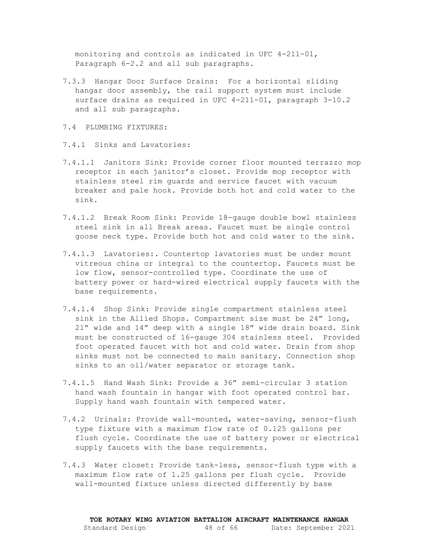monitoring and controls as indicated in UFC 4-211-01, Paragraph 6-2.2 and all sub paragraphs.

- 7.3.3 Hangar Door Surface Drains: For a horizontal sliding hangar door assembly, the rail support system must include surface drains as required in UFC 4-211-01, paragraph 3-10.2 and all sub paragraphs.
- <span id="page-47-0"></span>7.4 PLUMBING FIXTURES:
- 7.4.1 Sinks and Lavatories:
- 7.4.1.1 Janitors Sink: Provide corner floor mounted terrazzo mop receptor in each janitor's closet. Provide mop receptor with stainless steel rim guards and service faucet with vacuum breaker and pale hook. Provide both hot and cold water to the sink.
- 7.4.1.2 Break Room Sink: Provide 18-gauge double bowl stainless steel sink in all Break areas. Faucet must be single control goose neck type. Provide both hot and cold water to the sink.
- 7.4.1.3 Lavatories:. Countertop lavatories must be under mount vitreous china or integral to the countertop. Faucets must be low flow, sensor-controlled type. Coordinate the use of battery power or hard-wired electrical supply faucets with the base requirements.
- 7.4.1.4 Shop Sink: Provide single compartment stainless steel sink in the Allied Shops. Compartment size must be 24" long, 21" wide and 14" deep with a single 18" wide drain board. Sink must be constructed of 16-gauge 304 stainless steel. Provided foot operated faucet with hot and cold water. Drain from shop sinks must not be connected to main sanitary. Connection shop sinks to an oil/water separator or storage tank.
- 7.4.1.5 Hand Wash Sink: Provide a 36" semi-circular 3 station hand wash fountain in hangar with foot operated control bar. Supply hand wash fountain with tempered water.
- 7.4.2 Urinals: Provide wall-mounted, water-saving, sensor-flush type fixture with a maximum flow rate of 0.125 gallons per flush cycle. Coordinate the use of battery power or electrical supply faucets with the base requirements.
- 7.4.3 Water closet: Provide tank-less, sensor-flush type with a maximum flow rate of 1.25 gallons per flush cycle. Provide wall-mounted fixture unless directed differently by base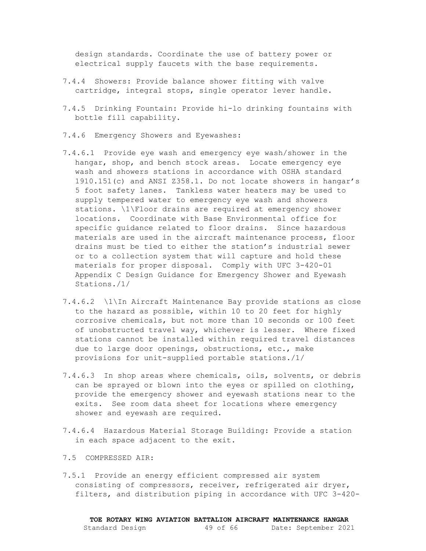design standards. Coordinate the use of battery power or electrical supply faucets with the base requirements.

- 7.4.4 Showers: Provide balance shower fitting with valve cartridge, integral stops, single operator lever handle.
- 7.4.5 Drinking Fountain: Provide hi-lo drinking fountains with bottle fill capability.
- 7.4.6 Emergency Showers and Eyewashes:
- 7.4.6.1 Provide eye wash and emergency eye wash/shower in the hangar, shop, and bench stock areas. Locate emergency eye wash and showers stations in accordance with OSHA standard 1910.151(c) and ANSI Z358.1. Do not locate showers in hangar's 5 foot safety lanes. Tankless water heaters may be used to supply tempered water to emergency eye wash and showers stations. \1\Floor drains are required at emergency shower locations. Coordinate with Base Environmental office for specific guidance related to floor drains. Since hazardous materials are used in the aircraft maintenance process, floor drains must be tied to either the station's industrial sewer or to a collection system that will capture and hold these materials for proper disposal. Comply with UFC 3-420-01 Appendix C Design Guidance for Emergency Shower and Eyewash Stations./1/
- 7.4.6.2 \1\In Aircraft Maintenance Bay provide stations as close to the hazard as possible, within 10 to 20 feet for highly corrosive chemicals, but not more than 10 seconds or 100 feet of unobstructed travel way, whichever is lesser. Where fixed stations cannot be installed within required travel distances due to large door openings, obstructions, etc., make provisions for unit-supplied portable stations./1/
- 7.4.6.3 In shop areas where chemicals, oils, solvents, or debris can be sprayed or blown into the eyes or spilled on clothing, provide the emergency shower and eyewash stations near to the exits. See room data sheet for locations where emergency shower and eyewash are required.
- 7.4.6.4 Hazardous Material Storage Building: Provide a station in each space adjacent to the exit.
- <span id="page-48-0"></span>7.5 COMPRESSED AIR:
- 7.5.1 Provide an energy efficient compressed air system consisting of compressors, receiver, refrigerated air dryer, filters, and distribution piping in accordance with UFC 3-420-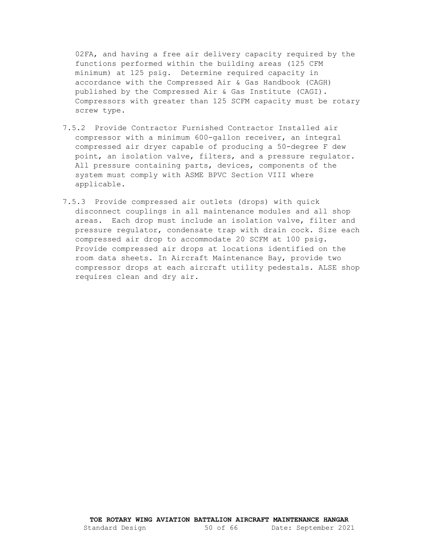02FA, and having a free air delivery capacity required by the functions performed within the building areas (125 CFM minimum) at 125 psig. Determine required capacity in accordance with the Compressed Air & Gas Handbook (CAGH) published by the Compressed Air & Gas Institute (CAGI). Compressors with greater than 125 SCFM capacity must be rotary screw type.

- 7.5.2 Provide Contractor Furnished Contractor Installed air compressor with a minimum 600-gallon receiver, an integral compressed air dryer capable of producing a 50-degree F dew point, an isolation valve, filters, and a pressure regulator. All pressure containing parts, devices, components of the system must comply with ASME BPVC Section VIII where applicable.
- 7.5.3 Provide compressed air outlets (drops) with quick disconnect couplings in all maintenance modules and all shop areas. Each drop must include an isolation valve, filter and pressure regulator, condensate trap with drain cock. Size each compressed air drop to accommodate 20 SCFM at 100 psig. Provide compressed air drops at locations identified on the room data sheets. In Aircraft Maintenance Bay, provide two compressor drops at each aircraft utility pedestals. ALSE shop requires clean and dry air.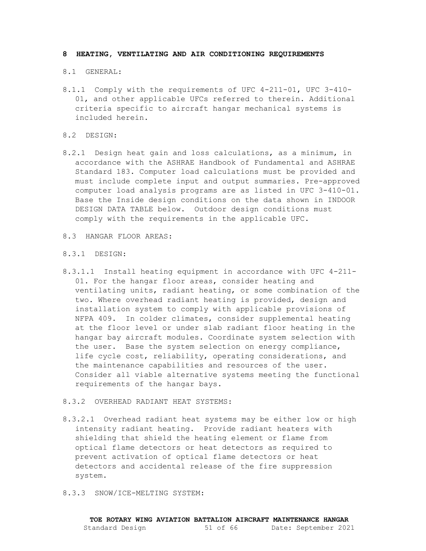#### <span id="page-50-1"></span><span id="page-50-0"></span>**8 HEATING, VENTILATING AND AIR CONDITIONING REQUIREMENTS**

#### 8.1 GENERAL:

- 8.1.1 Comply with the requirements of UFC 4-211-01, UFC 3-410- 01, and other applicable UFCs referred to therein. Additional criteria specific to aircraft hangar mechanical systems is included herein.
- <span id="page-50-2"></span>8.2 DESIGN:
- 8.2.1 Design heat gain and loss calculations, as a minimum, in accordance with the ASHRAE Handbook of Fundamental and ASHRAE Standard 183. Computer load calculations must be provided and must include complete input and output summaries. Pre-approved computer load analysis programs are as listed in UFC 3-410-01. Base the Inside design conditions on the data shown in INDOOR DESIGN DATA TABLE below. Outdoor design conditions must comply with the requirements in the applicable UFC.
- <span id="page-50-3"></span>8.3 HANGAR FLOOR AREAS:
- 8.3.1 DESIGN:
- 8.3.1.1 Install heating equipment in accordance with UFC 4-211- 01. For the hangar floor areas, consider heating and ventilating units, radiant heating, or some combination of the two. Where overhead radiant heating is provided, design and installation system to comply with applicable provisions of NFPA 409. In colder climates, consider supplemental heating at the floor level or under slab radiant floor heating in the hangar bay aircraft modules. Coordinate system selection with the user. Base the system selection on energy compliance, life cycle cost, reliability, operating considerations, and the maintenance capabilities and resources of the user. Consider all viable alternative systems meeting the functional requirements of the hangar bays.
- 8.3.2 OVERHEAD RADIANT HEAT SYSTEMS:
- 8.3.2.1 Overhead radiant heat systems may be either low or high intensity radiant heating. Provide radiant heaters with shielding that shield the heating element or flame from optical flame detectors or heat detectors as required to prevent activation of optical flame detectors or heat detectors and accidental release of the fire suppression system.
- 8.3.3 SNOW/ICE-MELTING SYSTEM: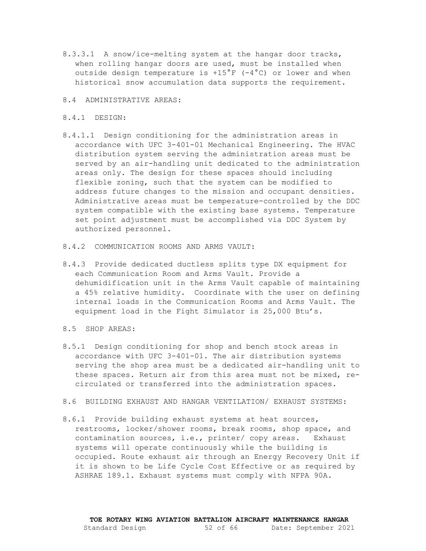- 8.3.3.1 A snow/ice-melting system at the hangar door tracks, when rolling hangar doors are used, must be installed when outside design temperature is +15°F (-4°C) or lower and when historical snow accumulation data supports the requirement.
- <span id="page-51-0"></span>8.4 ADMINISTRATIVE AREAS:
- 8.4.1 DESIGN:
- 8.4.1.1 Design conditioning for the administration areas in accordance with UFC 3-401-01 Mechanical Engineering. The HVAC distribution system serving the administration areas must be served by an air-handling unit dedicated to the administration areas only. The design for these spaces should including flexible zoning, such that the system can be modified to address future changes to the mission and occupant densities. Administrative areas must be temperature-controlled by the DDC system compatible with the existing base systems. Temperature set point adjustment must be accomplished via DDC System by authorized personnel.
- 8.4.2 COMMUNICATION ROOMS AND ARMS VAULT:
- 8.4.3 Provide dedicated ductless splits type DX equipment for each Communication Room and Arms Vault. Provide a dehumidification unit in the Arms Vault capable of maintaining a 45% relative humidity. Coordinate with the user on defining internal loads in the Communication Rooms and Arms Vault. The equipment load in the Fight Simulator is 25,000 Btu's.
- <span id="page-51-1"></span>8.5 SHOP AREAS:
- 8.5.1 Design conditioning for shop and bench stock areas in accordance with UFC 3-401-01. The air distribution systems serving the shop area must be a dedicated air-handling unit to these spaces. Return air from this area must not be mixed, recirculated or transferred into the administration spaces.
- <span id="page-51-2"></span>8.6 BUILDING EXHAUST AND HANGAR VENTILATION/ EXHAUST SYSTEMS:
- 8.6.1 Provide building exhaust systems at heat sources, restrooms, locker/shower rooms, break rooms, shop space, and contamination sources, i.e., printer/ copy areas. Exhaust systems will operate continuously while the building is occupied. Route exhaust air through an Energy Recovery Unit if it is shown to be Life Cycle Cost Effective or as required by ASHRAE 189.1. Exhaust systems must comply with NFPA 90A.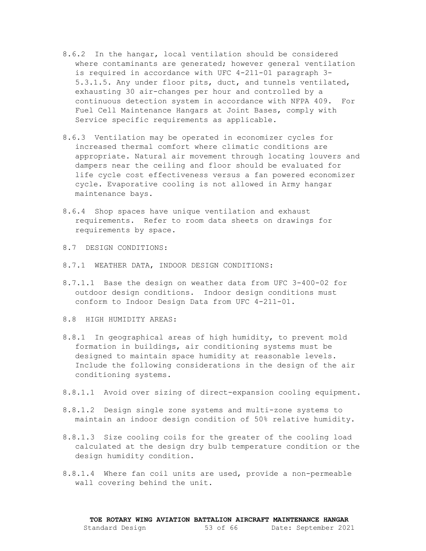- 8.6.2 In the hangar, local ventilation should be considered where contaminants are generated; however general ventilation is required in accordance with UFC 4-211-01 paragraph 3- 5.3.1.5. Any under floor pits, duct, and tunnels ventilated, exhausting 30 air-changes per hour and controlled by a continuous detection system in accordance with NFPA 409. For Fuel Cell Maintenance Hangars at Joint Bases, comply with Service specific requirements as applicable.
- 8.6.3 Ventilation may be operated in economizer cycles for increased thermal comfort where climatic conditions are appropriate. Natural air movement through locating louvers and dampers near the ceiling and floor should be evaluated for life cycle cost effectiveness versus a fan powered economizer cycle. Evaporative cooling is not allowed in Army hangar maintenance bays.
- 8.6.4 Shop spaces have unique ventilation and exhaust requirements. Refer to room data sheets on drawings for requirements by space.
- <span id="page-52-0"></span>8.7 DESIGN CONDITIONS:
- 8.7.1 WEATHER DATA, INDOOR DESIGN CONDITIONS:
- 8.7.1.1 Base the design on weather data from UFC 3-400-02 for outdoor design conditions. Indoor design conditions must conform to Indoor Design Data from UFC 4-211-01.
- <span id="page-52-1"></span>8.8 HIGH HUMIDITY AREAS:
- 8.8.1 In geographical areas of high humidity, to prevent mold formation in buildings, air conditioning systems must be designed to maintain space humidity at reasonable levels. Include the following considerations in the design of the air conditioning systems.
- 8.8.1.1 Avoid over sizing of direct-expansion cooling equipment.
- 8.8.1.2 Design single zone systems and multi-zone systems to maintain an indoor design condition of 50% relative humidity.
- 8.8.1.3 Size cooling coils for the greater of the cooling load calculated at the design dry bulb temperature condition or the design humidity condition.
- 8.8.1.4 Where fan coil units are used, provide a non-permeable wall covering behind the unit.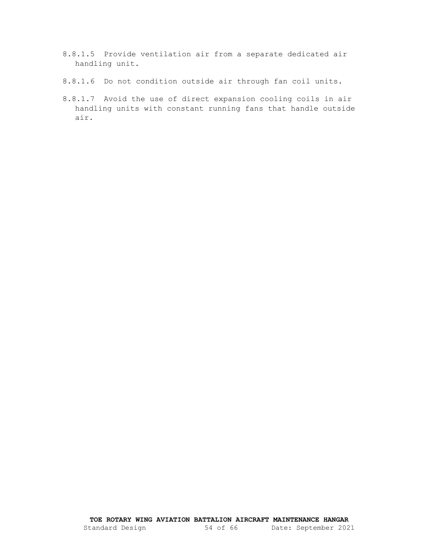- 8.8.1.5 Provide ventilation air from a separate dedicated air handling unit.
- 8.8.1.6 Do not condition outside air through fan coil units.
- 8.8.1.7 Avoid the use of direct expansion cooling coils in air handling units with constant running fans that handle outside air.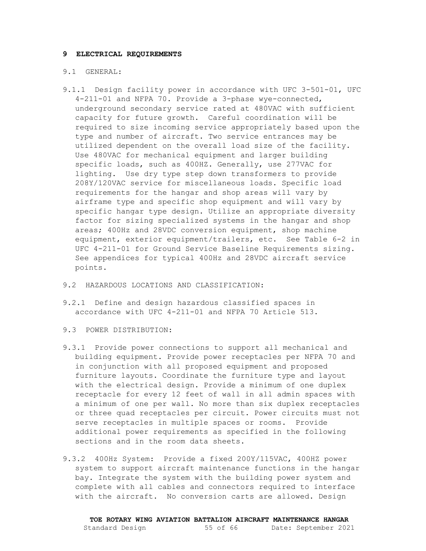#### <span id="page-54-0"></span>**9 ELECTRICAL REQUIREMENTS**

#### <span id="page-54-1"></span>9.1 GENERAL:

- 9.1.1 Design facility power in accordance with UFC 3-501-01, UFC 4-211-01 and NFPA 70. Provide a 3-phase wye-connected, underground secondary service rated at 480VAC with sufficient capacity for future growth. Careful coordination will be required to size incoming service appropriately based upon the type and number of aircraft. Two service entrances may be utilized dependent on the overall load size of the facility. Use 480VAC for mechanical equipment and larger building specific loads, such as 400HZ. Generally, use 277VAC for lighting. Use dry type step down transformers to provide 208Y/120VAC service for miscellaneous loads. Specific load requirements for the hangar and shop areas will vary by airframe type and specific shop equipment and will vary by specific hangar type design. Utilize an appropriate diversity factor for sizing specialized systems in the hangar and shop areas; 400Hz and 28VDC conversion equipment, shop machine equipment, exterior equipment/trailers, etc. See Table 6-2 in UFC 4-211-01 for Ground Service Baseline Requirements sizing. See appendices for typical 400Hz and 28VDC aircraft service points.
- <span id="page-54-2"></span>9.2 HAZARDOUS LOCATIONS AND CLASSIFICATION:
- 9.2.1 Define and design hazardous classified spaces in accordance with UFC 4-211-01 and NFPA 70 Article 513.
- <span id="page-54-3"></span>9.3 POWER DISTRIBUTION:
- 9.3.1 Provide power connections to support all mechanical and building equipment. Provide power receptacles per NFPA 70 and in conjunction with all proposed equipment and proposed furniture layouts. Coordinate the furniture type and layout with the electrical design. Provide a minimum of one duplex receptacle for every 12 feet of wall in all admin spaces with a minimum of one per wall. No more than six duplex receptacles or three quad receptacles per circuit. Power circuits must not serve receptacles in multiple spaces or rooms. Provide additional power requirements as specified in the following sections and in the room data sheets.
- 9.3.2 400Hz System: Provide a fixed 200Y/115VAC, 400HZ power system to support aircraft maintenance functions in the hangar bay. Integrate the system with the building power system and complete with all cables and connectors required to interface with the aircraft. No conversion carts are allowed. Design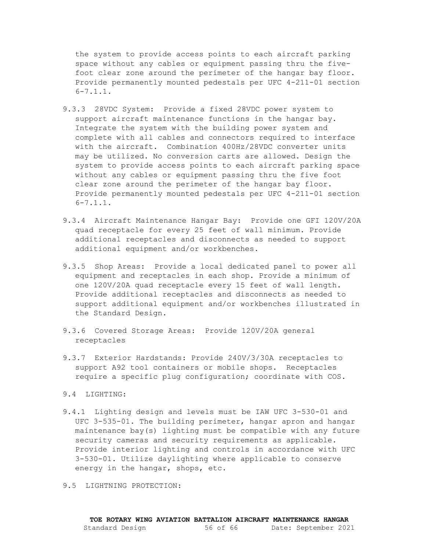the system to provide access points to each aircraft parking space without any cables or equipment passing thru the fivefoot clear zone around the perimeter of the hangar bay floor. Provide permanently mounted pedestals per UFC 4-211-01 section  $6 - 7.1.1.$ 

- 9.3.3 28VDC System: Provide a fixed 28VDC power system to support aircraft maintenance functions in the hangar bay. Integrate the system with the building power system and complete with all cables and connectors required to interface with the aircraft. Combination 400Hz/28VDC converter units may be utilized. No conversion carts are allowed. Design the system to provide access points to each aircraft parking space without any cables or equipment passing thru the five foot clear zone around the perimeter of the hangar bay floor. Provide permanently mounted pedestals per UFC 4-211-01 section  $6 - 7.1.1.$
- 9.3.4 Aircraft Maintenance Hangar Bay: Provide one GFI 120V/20A quad receptacle for every 25 feet of wall minimum. Provide additional receptacles and disconnects as needed to support additional equipment and/or workbenches.
- 9.3.5 Shop Areas: Provide a local dedicated panel to power all equipment and receptacles in each shop. Provide a minimum of one 120V/20A quad receptacle every 15 feet of wall length. Provide additional receptacles and disconnects as needed to support additional equipment and/or workbenches illustrated in the Standard Design.
- 9.3.6 Covered Storage Areas: Provide 120V/20A general receptacles
- 9.3.7 Exterior Hardstands: Provide 240V/3/30A receptacles to support A92 tool containers or mobile shops. Receptacles require a specific plug configuration; coordinate with COS.
- <span id="page-55-0"></span>9.4 LIGHTING:
- 9.4.1 Lighting design and levels must be IAW UFC 3-530-01 and UFC 3-535-01. The building perimeter, hangar apron and hangar maintenance bay(s) lighting must be compatible with any future security cameras and security requirements as applicable. Provide interior lighting and controls in accordance with UFC 3-530-01. Utilize daylighting where applicable to conserve energy in the hangar, shops, etc.
- <span id="page-55-1"></span>9.5 LIGHTNING PROTECTION: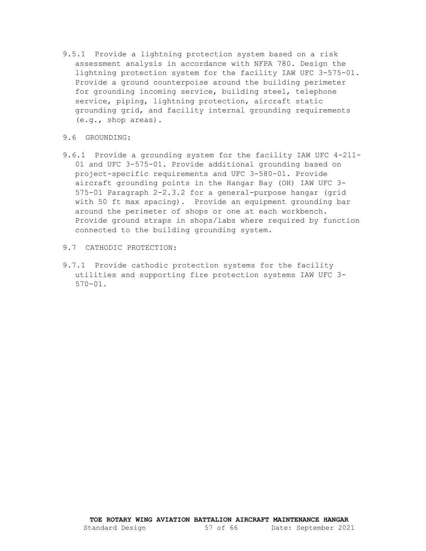- 9.5.1 Provide a lightning protection system based on a risk assessment analysis in accordance with NFPA 780. Design the lightning protection system for the facility IAW UFC 3-575-01. Provide a ground counterpoise around the building perimeter for grounding incoming service, building steel, telephone service, piping, lightning protection, aircraft static grounding grid, and facility internal grounding requirements (e.g., shop areas).
- <span id="page-56-0"></span>9.6 GROUNDING:
- 9.6.1 Provide a grounding system for the facility IAW UFC 4-211- 01 and UFC 3-575-01. Provide additional grounding based on project-specific requirements and UFC 3-580-01. Provide aircraft grounding points in the Hangar Bay (OH) IAW UFC 3- 575-01 Paragraph 2-2.3.2 for a general-purpose hangar (grid with 50 ft max spacing). Provide an equipment grounding bar around the perimeter of shops or one at each workbench. Provide ground straps in shops/labs where required by function connected to the building grounding system.
- <span id="page-56-1"></span>9.7 CATHODIC PROTECTION:
- 9.7.1 Provide cathodic protection systems for the facility utilities and supporting fire protection systems IAW UFC 3- 570-01.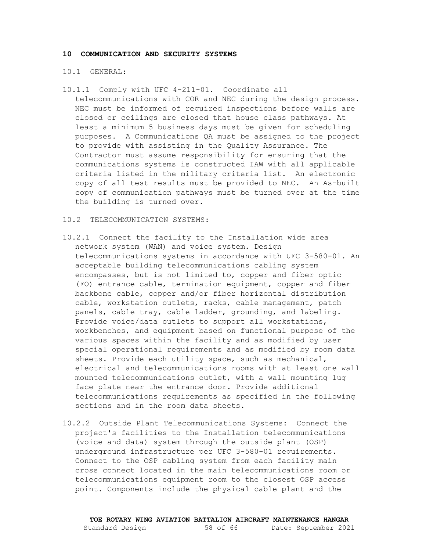#### <span id="page-57-1"></span><span id="page-57-0"></span>**10 COMMUNICATION AND SECURITY SYSTEMS**

#### 10.1 GENERAL:

10.1.1 Comply with UFC 4-211-01. Coordinate all telecommunications with COR and NEC during the design process. NEC must be informed of required inspections before walls are closed or ceilings are closed that house class pathways. At least a minimum 5 business days must be given for scheduling purposes. A Communications QA must be assigned to the project to provide with assisting in the Quality Assurance. The Contractor must assume responsibility for ensuring that the communications systems is constructed IAW with all applicable criteria listed in the military criteria list. An electronic copy of all test results must be provided to NEC. An As-built copy of communication pathways must be turned over at the time the building is turned over.

#### <span id="page-57-2"></span>10.2 TELECOMMUNICATION SYSTEMS:

- 10.2.1 Connect the facility to the Installation wide area network system (WAN) and voice system. Design telecommunications systems in accordance with UFC 3-580-01. An acceptable building telecommunications cabling system encompasses, but is not limited to, copper and fiber optic (FO) entrance cable, termination equipment, copper and fiber backbone cable, copper and/or fiber horizontal distribution cable, workstation outlets, racks, cable management, patch panels, cable tray, cable ladder, grounding, and labeling. Provide voice/data outlets to support all workstations, workbenches, and equipment based on functional purpose of the various spaces within the facility and as modified by user special operational requirements and as modified by room data sheets. Provide each utility space, such as mechanical, electrical and telecommunications rooms with at least one wall mounted telecommunications outlet, with a wall mounting lug face plate near the entrance door. Provide additional telecommunications requirements as specified in the following sections and in the room data sheets.
- 10.2.2 Outside Plant Telecommunications Systems: Connect the project's facilities to the Installation telecommunications (voice and data) system through the outside plant (OSP) underground infrastructure per UFC 3-580-01 requirements. Connect to the OSP cabling system from each facility main cross connect located in the main telecommunications room or telecommunications equipment room to the closest OSP access point. Components include the physical cable plant and the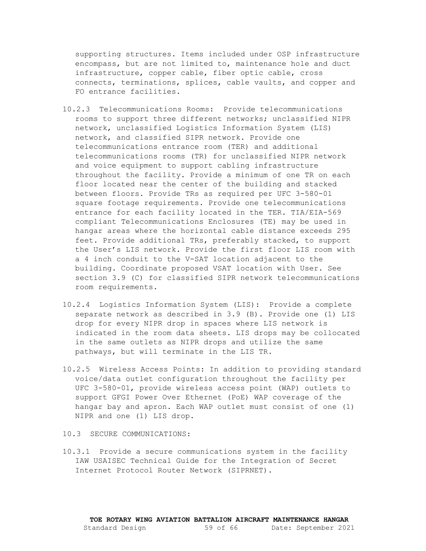supporting structures. Items included under OSP infrastructure encompass, but are not limited to, maintenance hole and duct infrastructure, copper cable, fiber optic cable, cross connects, terminations, splices, cable vaults, and copper and FO entrance facilities.

- 10.2.3 Telecommunications Rooms: Provide telecommunications rooms to support three different networks; unclassified NIPR network, unclassified Logistics Information System (LIS) network, and classified SIPR network. Provide one telecommunications entrance room (TER) and additional telecommunications rooms (TR) for unclassified NIPR network and voice equipment to support cabling infrastructure throughout the facility. Provide a minimum of one TR on each floor located near the center of the building and stacked between floors. Provide TRs as required per UFC 3-580-01 square footage requirements. Provide one telecommunications entrance for each facility located in the TER. TIA/EIA-569 compliant Telecommunications Enclosures (TE) may be used in hangar areas where the horizontal cable distance exceeds 295 feet. Provide additional TRs, preferably stacked, to support the User's LIS network. Provide the first floor LIS room with a 4 inch conduit to the V-SAT location adjacent to the building. Coordinate proposed VSAT location with User. See section 3.9 (C) for classified SIPR network telecommunications room requirements.
- 10.2.4 Logistics Information System (LIS): Provide a complete separate network as described in 3.9 (B). Provide one (1) LIS drop for every NIPR drop in spaces where LIS network is indicated in the room data sheets. LIS drops may be collocated in the same outlets as NIPR drops and utilize the same pathways, but will terminate in the LIS TR.
- 10.2.5 Wireless Access Points: In addition to providing standard voice/data outlet configuration throughout the facility per UFC 3-580-01, provide wireless access point (WAP) outlets to support GFGI Power Over Ethernet (PoE) WAP coverage of the hangar bay and apron. Each WAP outlet must consist of one (1) NIPR and one (1) LIS drop.

#### <span id="page-58-0"></span>10.3 SECURE COMMUNICATIONS:

10.3.1 Provide a secure communications system in the facility IAW USAISEC Technical Guide for the Integration of Secret Internet Protocol Router Network (SIPRNET).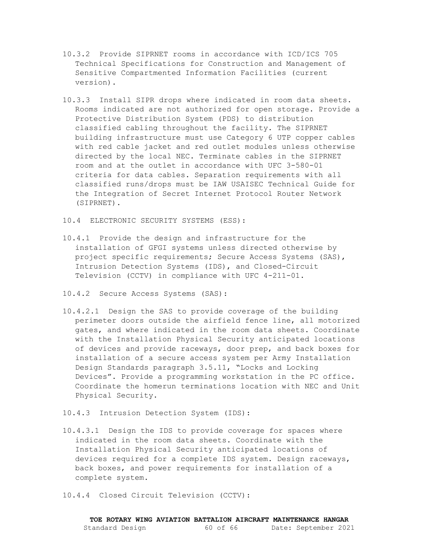- 10.3.2 Provide SIPRNET rooms in accordance with ICD/ICS 705 Technical Specifications for Construction and Management of Sensitive Compartmented Information Facilities (current version).
- 10.3.3 Install SIPR drops where indicated in room data sheets. Rooms indicated are not authorized for open storage. Provide a Protective Distribution System (PDS) to distribution classified cabling throughout the facility. The SIPRNET building infrastructure must use Category 6 UTP copper cables with red cable jacket and red outlet modules unless otherwise directed by the local NEC. Terminate cables in the SIPRNET room and at the outlet in accordance with UFC 3-580-01 criteria for data cables. Separation requirements with all classified runs/drops must be IAW USAISEC Technical Guide for the Integration of Secret Internet Protocol Router Network (SIPRNET).
- <span id="page-59-0"></span>10.4 ELECTRONIC SECURITY SYSTEMS (ESS):
- 10.4.1 Provide the design and infrastructure for the installation of GFGI systems unless directed otherwise by project specific requirements; Secure Access Systems (SAS), Intrusion Detection Systems (IDS), and Closed-Circuit Television (CCTV) in compliance with UFC 4-211-01.
- 10.4.2 Secure Access Systems (SAS):
- 10.4.2.1 Design the SAS to provide coverage of the building perimeter doors outside the airfield fence line, all motorized gates, and where indicated in the room data sheets. Coordinate with the Installation Physical Security anticipated locations of devices and provide raceways, door prep, and back boxes for installation of a secure access system per Army Installation Design Standards paragraph 3.5.11, "Locks and Locking Devices". Provide a programming workstation in the PC office. Coordinate the homerun terminations location with NEC and Unit Physical Security.
- 10.4.3 Intrusion Detection System (IDS):
- 10.4.3.1 Design the IDS to provide coverage for spaces where indicated in the room data sheets. Coordinate with the Installation Physical Security anticipated locations of devices required for a complete IDS system. Design raceways, back boxes, and power requirements for installation of a complete system.
- 10.4.4 Closed Circuit Television (CCTV):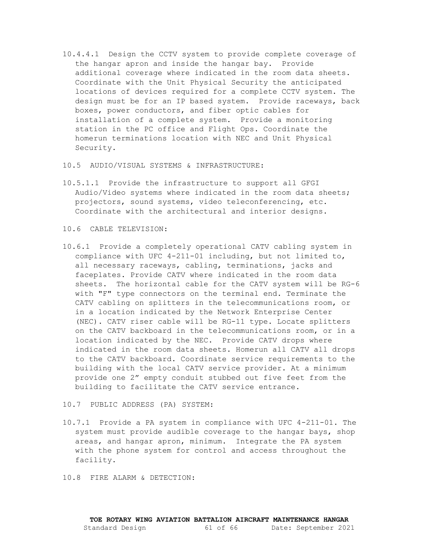10.4.4.1 Design the CCTV system to provide complete coverage of the hangar apron and inside the hangar bay. Provide additional coverage where indicated in the room data sheets. Coordinate with the Unit Physical Security the anticipated locations of devices required for a complete CCTV system. The design must be for an IP based system. Provide raceways, back boxes, power conductors, and fiber optic cables for installation of a complete system. Provide a monitoring station in the PC office and Flight Ops. Coordinate the homerun terminations location with NEC and Unit Physical Security.

#### <span id="page-60-0"></span>10.5 AUDIO/VISUAL SYSTEMS & INFRASTRUCTURE:

- 10.5.1.1 Provide the infrastructure to support all GFGI Audio/Video systems where indicated in the room data sheets; projectors, sound systems, video teleconferencing, etc. Coordinate with the architectural and interior designs.
- <span id="page-60-1"></span>10.6 CABLE TELEVISION:
- 10.6.1 Provide a completely operational CATV cabling system in compliance with UFC 4-211-01 including, but not limited to, all necessary raceways, cabling, terminations, jacks and faceplates. Provide CATV where indicated in the room data sheets. The horizontal cable for the CATV system will be RG-6 with "F" type connectors on the terminal end. Terminate the CATV cabling on splitters in the telecommunications room, or in a location indicated by the Network Enterprise Center (NEC). CATV riser cable will be RG-11 type. Locate splitters on the CATV backboard in the telecommunications room, or in a location indicated by the NEC. Provide CATV drops where indicated in the room data sheets. Homerun all CATV all drops to the CATV backboard. Coordinate service requirements to the building with the local CATV service provider. At a minimum provide one 2" empty conduit stubbed out five feet from the building to facilitate the CATV service entrance.

#### <span id="page-60-2"></span>10.7 PUBLIC ADDRESS (PA) SYSTEM:

10.7.1 Provide a PA system in compliance with UFC 4-211-01. The system must provide audible coverage to the hangar bays, shop areas, and hangar apron, minimum. Integrate the PA system with the phone system for control and access throughout the facility.

<span id="page-60-3"></span>10.8 FIRE ALARM & DETECTION: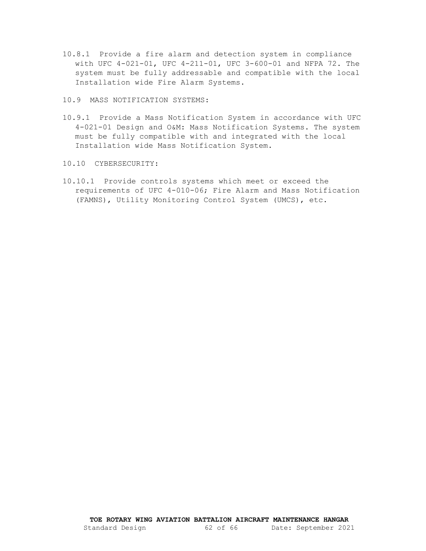10.8.1 Provide a fire alarm and detection system in compliance with UFC 4-021-01, UFC 4-211-01, UFC 3-600-01 and NFPA 72. The system must be fully addressable and compatible with the local Installation wide Fire Alarm Systems.

<span id="page-61-0"></span>10.9 MASS NOTIFICATION SYSTEMS:

- 10.9.1 Provide a Mass Notification System in accordance with UFC 4-021-01 Design and O&M: Mass Notification Systems. The system must be fully compatible with and integrated with the local Installation wide Mass Notification System.
- <span id="page-61-1"></span>10.10 CYBERSECURITY:
- 10.10.1 Provide controls systems which meet or exceed the requirements of UFC 4-010-06; Fire Alarm and Mass Notification (FAMNS), Utility Monitoring Control System (UMCS), etc.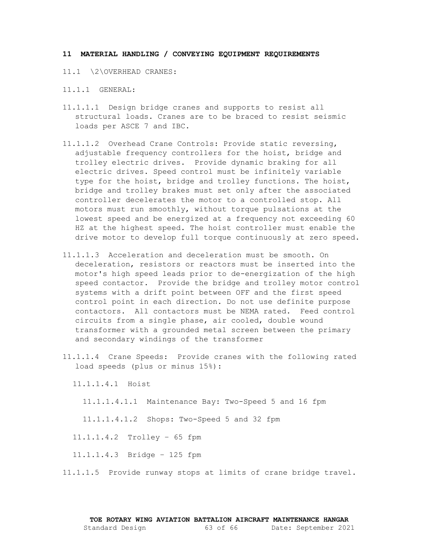#### <span id="page-62-1"></span><span id="page-62-0"></span>**11 MATERIAL HANDLING / CONVEYING EQUIPMENT REQUIREMENTS**

- 11.1 \2\OVERHEAD CRANES:
- 11.1.1 GENERAL:
- 11.1.1.1 Design bridge cranes and supports to resist all structural loads. Cranes are to be braced to resist seismic loads per ASCE 7 and IBC.
- 11.1.1.2 Overhead Crane Controls: Provide static reversing, adjustable frequency controllers for the hoist, bridge and trolley electric drives. Provide dynamic braking for all electric drives. Speed control must be infinitely variable type for the hoist, bridge and trolley functions. The hoist, bridge and trolley brakes must set only after the associated controller decelerates the motor to a controlled stop. All motors must run smoothly, without torque pulsations at the lowest speed and be energized at a frequency not exceeding 60 HZ at the highest speed. The hoist controller must enable the drive motor to develop full torque continuously at zero speed.
- 11.1.1.3 Acceleration and deceleration must be smooth. On deceleration, resistors or reactors must be inserted into the motor's high speed leads prior to de-energization of the high speed contactor. Provide the bridge and trolley motor control systems with a drift point between OFF and the first speed control point in each direction. Do not use definite purpose contactors. All contactors must be NEMA rated. Feed control circuits from a single phase, air cooled, double wound transformer with a grounded metal screen between the primary and secondary windings of the transformer
- 11.1.1.4 Crane Speeds: Provide cranes with the following rated load speeds (plus or minus 15%):

11.1.1.4.1 Hoist

11.1.1.4.1.1 Maintenance Bay: Two-Speed 5 and 16 fpm

11.1.1.4.1.2 Shops: Two-Speed 5 and 32 fpm

11.1.1.4.2 Trolley – 65 fpm

11.1.1.4.3 Bridge – 125 fpm

11.1.1.5 Provide runway stops at limits of crane bridge travel.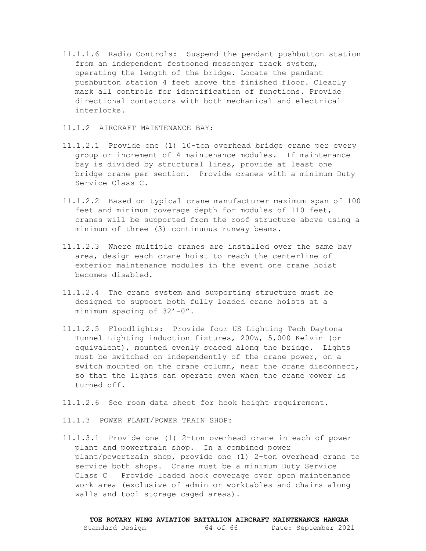11.1.1.6 Radio Controls: Suspend the pendant pushbutton station from an independent festooned messenger track system, operating the length of the bridge. Locate the pendant pushbutton station 4 feet above the finished floor. Clearly mark all controls for identification of functions. Provide directional contactors with both mechanical and electrical interlocks.

## 11.1.2 AIRCRAFT MAINTENANCE BAY:

- 11.1.2.1 Provide one (1) 10-ton overhead bridge crane per every group or increment of 4 maintenance modules. If maintenance bay is divided by structural lines, provide at least one bridge crane per section. Provide cranes with a minimum Duty Service Class C.
- 11.1.2.2 Based on typical crane manufacturer maximum span of 100 feet and minimum coverage depth for modules of 110 feet, cranes will be supported from the roof structure above using a minimum of three (3) continuous runway beams.
- 11.1.2.3 Where multiple cranes are installed over the same bay area, design each crane hoist to reach the centerline of exterior maintenance modules in the event one crane hoist becomes disabled.
- 11.1.2.4 The crane system and supporting structure must be designed to support both fully loaded crane hoists at a minimum spacing of 32'-0".
- 11.1.2.5 Floodlights: Provide four US Lighting Tech Daytona Tunnel Lighting induction fixtures, 200W, 5,000 Kelvin (or equivalent), mounted evenly spaced along the bridge. Lights must be switched on independently of the crane power, on a switch mounted on the crane column, near the crane disconnect, so that the lights can operate even when the crane power is turned off.
- 11.1.2.6 See room data sheet for hook height requirement.
- 11.1.3 POWER PLANT/POWER TRAIN SHOP:
- 11.1.3.1 Provide one (1) 2-ton overhead crane in each of power plant and powertrain shop. In a combined power plant/powertrain shop, provide one (1) 2-ton overhead crane to service both shops. Crane must be a minimum Duty Service Class C Provide loaded hook coverage over open maintenance work area (exclusive of admin or worktables and chairs along walls and tool storage caged areas).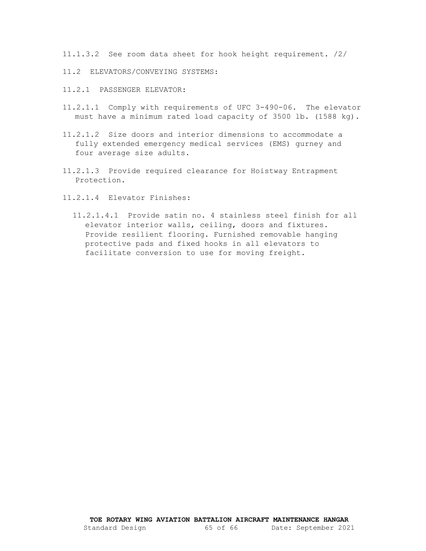11.1.3.2 See room data sheet for hook height requirement. /2/

- <span id="page-64-0"></span>11.2 ELEVATORS/CONVEYING SYSTEMS:
- 11.2.1 PASSENGER ELEVATOR:
- 11.2.1.1 Comply with requirements of UFC 3-490-06. The elevator must have a minimum rated load capacity of 3500 lb. (1588 kg).
- 11.2.1.2 Size doors and interior dimensions to accommodate a fully extended emergency medical services (EMS) gurney and four average size adults.
- 11.2.1.3 Provide required clearance for Hoistway Entrapment Protection.
- 11.2.1.4 Elevator Finishes:
	- 11.2.1.4.1 Provide satin no. 4 stainless steel finish for all elevator interior walls, ceiling, doors and fixtures. Provide resilient flooring. Furnished removable hanging protective pads and fixed hooks in all elevators to facilitate conversion to use for moving freight.